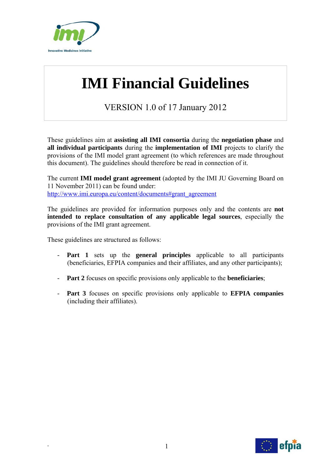

# **IMI Financial Guidelines**

VERSION 1.0 of 17 January 2012

These guidelines aim at **assisting all IMI consortia** during the **negotiation phase** and **all individual participants** during the **implementation of IMI** projects to clarify the provisions of the IMI model grant agreement (to which references are made throughout this document). The guidelines should therefore be read in connection of it.

The current **IMI model grant agreement** (adopted by the IMI JU Governing Board on 11 November 2011) can be found under: http://www.imi.europa.eu/content/documents#grant\_agreement

The guidelines are provided for information purposes only and the contents are **not intended to replace consultation of any applicable legal sources**, especially the provisions of the IMI grant agreement.

These guidelines are structured as follows:

- **Part 1** sets up the **general principles** applicable to all participants (beneficiaries, EFPIA companies and their affiliates, and any other participants);
- **Part 2** focuses on specific provisions only applicable to the **beneficiaries**;
- **Part 3** focuses on specific provisions only applicable to **EFPIA companies** (including their affiliates).

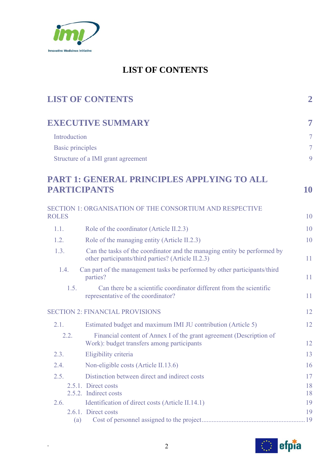

# **LIST OF CONTENTS**

|                         | <b>LIST OF CONTENTS</b>                                                                                                        | $\overline{2}$ |
|-------------------------|--------------------------------------------------------------------------------------------------------------------------------|----------------|
|                         | <b>EXECUTIVE SUMMARY</b>                                                                                                       | 7              |
| Introduction            |                                                                                                                                | $\overline{7}$ |
| <b>Basic principles</b> |                                                                                                                                | $\overline{7}$ |
|                         | Structure of a IMI grant agreement                                                                                             | 9              |
|                         | PART 1: GENERAL PRINCIPLES APPLYING TO ALL<br><b>PARTICIPANTS</b>                                                              | <b>10</b>      |
|                         | SECTION 1: ORGANISATION OF THE CONSORTIUM AND RESPECTIVE                                                                       |                |
| <b>ROLES</b>            |                                                                                                                                | 10             |
| 1.1.                    | Role of the coordinator (Article II.2.3)                                                                                       | 10             |
| 1.2.                    | Role of the managing entity (Article II.2.3)                                                                                   | 10             |
| 1.3.                    | Can the tasks of the coordinator and the managing entity be performed by<br>other participants/third parties? (Article II.2.3) | 11             |
| 1.4.                    | Can part of the management tasks be performed by other participants/third<br>parties?                                          | 11             |
| 1.5.                    | Can there be a scientific coordinator different from the scientific<br>representative of the coordinator?                      | 11             |
|                         | <b>SECTION 2: FINANCIAL PROVISIONS</b>                                                                                         | 12             |
| 2.1.                    | Estimated budget and maximum IMI JU contribution (Article 5)                                                                   | 12             |
| 2.2.                    | Financial content of Annex I of the grant agreement (Description of<br>Work): budget transfers among participants              | 12             |
| 2.3.                    | Eligibility criteria                                                                                                           | 13             |
| 2.4.                    | Non-eligible costs (Article II.13.6)                                                                                           | 16             |
| 2.5.                    | Distinction between direct and indirect costs                                                                                  | 17             |
|                         | 2.5.1. Direct costs                                                                                                            | 18             |
|                         | 2.5.2. Indirect costs                                                                                                          | 18             |
| 2.6.                    | Identification of direct costs (Article II.14.1)<br>2.6.1. Direct costs                                                        | 19<br>19       |
|                         | (a)                                                                                                                            |                |

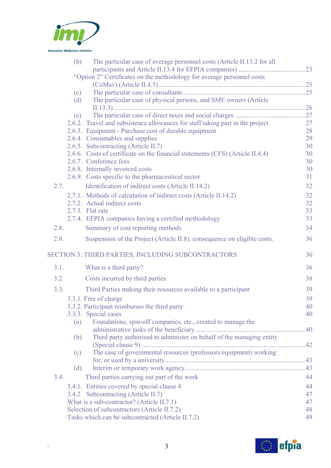

|      | (b) | The particular case of average personnel costs (Article II.13.2 for all        |    |
|------|-----|--------------------------------------------------------------------------------|----|
|      |     |                                                                                |    |
|      |     | "Option 2" Certificates on the methodology for average personnel costs         |    |
|      |     |                                                                                |    |
|      | (c) |                                                                                |    |
|      | (d) | The particular case of physical persons, and SME owners (Article               |    |
|      | (e) |                                                                                |    |
|      |     | 2.6.2. Travel and subsistence allowances for staff taking part in the project  | 27 |
|      |     | 2.6.3. Equipment - Purchase cost of durable equipment                          | 28 |
|      |     | 2.6.4. Consumables and supplies                                                | 29 |
|      |     | 2.6.5. Subcontracting (Article II.7)                                           | 30 |
|      |     | 2.6.6. Costs of certificate on the financial statements (CFS) (Article II.4.4) | 30 |
|      |     | 2.6.7. Conference fees                                                         | 30 |
|      |     | 2.6.8. Internally invoiced costs                                               | 30 |
|      |     | 2.6.9. Costs specific to the pharmaceutical sector                             | 31 |
| 2.7. |     | Identification of indirect costs (Article II.14.2)                             | 32 |
|      |     | 2.7.1. Methods of calculation of indirect costs (Article II.14.2)              | 32 |
|      |     | 2.7.2. Actual indirect costs                                                   | 32 |
|      |     | 2.7.3. Flat rate                                                               | 33 |
|      |     | 2.7.4. EFPIA companies having a certified methodology                          | 33 |
| 2.8. |     | Summary of cost reporting methods                                              | 34 |
|      |     |                                                                                |    |
| 2.9. |     | Suspension of the Project (Article II.8): consequence on eligible costs.       | 36 |
|      |     | SECTION 3: THIRD PARTIES, INCLUDING SUBCONTRACTORS                             | 36 |
| 3.1. |     | What is a third party?                                                         | 36 |
| 3.2. |     | Costs incurred by third parties                                                | 38 |
| 3.3. |     | Third Parties making their resources available to a participant                | 39 |
|      |     | 3.3.1. Free of charge                                                          | 39 |
|      |     | 3.3.2. Participant reimburses the third party                                  | 40 |
|      |     | 3.3.3. Special cases                                                           | 40 |
|      | (a) | Foundations, spin-off companies, etc., created to manage the                   |    |
|      |     |                                                                                | 40 |
|      | (b) | Third party authorised to administer on behalf of the managing entity          | 42 |
|      | (c) | The case of governmental resources (professors/equipment) working              |    |
|      |     |                                                                                |    |
|      | (d) |                                                                                |    |
| 3.4. |     | Third parties carrying out part of the work                                    | 44 |
|      |     | 3.4.1. Entities covered by special clause 4                                    | 44 |
|      |     | 3.4.2 Subcontracting (Article II.7)                                            | 47 |
|      |     | What is a sub-contractor? (Article II.7.1)                                     | 47 |
|      |     | Selection of subcontractors (Article II.7.2)                                   | 48 |
|      |     | Tasks which can be subcontracted (Article II.7.2)                              | 49 |
|      |     |                                                                                |    |

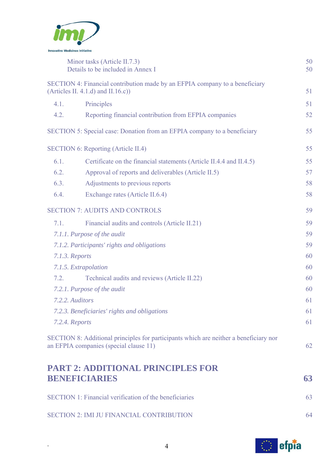

|      | Minor tasks (Article II.7.3)<br>Details to be included in Annex I                                                               | 50<br>50 |
|------|---------------------------------------------------------------------------------------------------------------------------------|----------|
|      | SECTION 4: Financial contribution made by an EFPIA company to a beneficiary                                                     |          |
|      | (Articles II. 4.1.d) and II.16.c))                                                                                              | 51       |
| 4.1. | Principles                                                                                                                      | 51       |
| 4.2. | Reporting financial contribution from EFPIA companies                                                                           | 52       |
|      | SECTION 5: Special case: Donation from an EFPIA company to a beneficiary                                                        | 55       |
|      | <b>SECTION 6: Reporting (Article II.4)</b>                                                                                      | 55       |
| 6.1. | Certificate on the financial statements (Article II.4.4 and II.4.5)                                                             | 55       |
| 6.2. | Approval of reports and deliverables (Article II.5)                                                                             | 57       |
| 6.3. | Adjustments to previous reports                                                                                                 | 58       |
| 6.4. | Exchange rates (Article II.6.4)                                                                                                 | 58       |
|      | <b>SECTION 7: AUDITS AND CONTROLS</b>                                                                                           | 59       |
| 7.1. | Financial audits and controls (Article II.21)                                                                                   | 59       |
|      | 7.1.1. Purpose of the audit                                                                                                     | 59       |
|      | 7.1.2. Participants' rights and obligations                                                                                     | 59       |
|      | 7.1.3. Reports                                                                                                                  | 60       |
|      | 7.1.5. Extrapolation                                                                                                            | 60       |
| 7.2. | Technical audits and reviews (Article II.22)                                                                                    | 60       |
|      | 7.2.1. Purpose of the audit                                                                                                     | 60       |
|      | 7.2.2. Auditors                                                                                                                 | 61       |
|      | 7.2.3. Beneficiaries' rights and obligations                                                                                    | 61       |
|      | 7.2.4. Reports                                                                                                                  | 61       |
|      | SECTION 8: Additional principles for participants which are neither a beneficiary nor<br>an EFPIA companies (special clause 11) | 62       |
|      | <b>PART 2: ADDITIONAL PRINCIPLES FOR</b>                                                                                        |          |
|      | <b>BENEFICIARIES</b>                                                                                                            | 63       |

| <b>SECTION 1: Financial verification of the beneficiaries</b> | 63 |
|---------------------------------------------------------------|----|
| <b>SECTION 2: IMI JU FINANCIAL CONTRIBUTION</b>               | 64 |

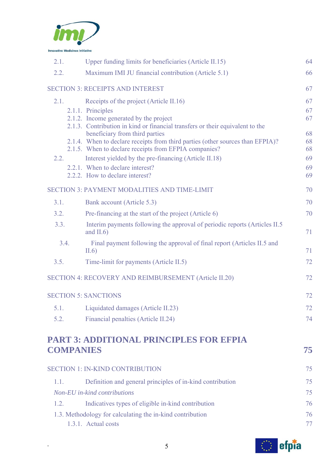

| 2.1.             | Upper funding limits for beneficiaries (Article II.15)                                                           | 64       |
|------------------|------------------------------------------------------------------------------------------------------------------|----------|
| 2.2.             | Maximum IMI JU financial contribution (Article 5.1)                                                              | 66       |
|                  | <b>SECTION 3: RECEIPTS AND INTEREST</b>                                                                          | 67       |
| 2.1.             | Receipts of the project (Article II.16)                                                                          | 67       |
|                  | 2.1.1. Principles                                                                                                | 67       |
|                  | 2.1.2. Income generated by the project                                                                           | 67       |
|                  | 2.1.3. Contribution in kind or financial transfers or their equivalent to the                                    |          |
|                  | beneficiary from third parties<br>2.1.4. When to declare receipts from third parties (other sources than EFPIA)? | 68<br>68 |
|                  | 2.1.5. When to declare receipts from EFPIA companies?                                                            | 68       |
| 2.2.             | Interest yielded by the pre-financing (Article II.18)                                                            | 69       |
|                  | 2.2.1. When to declare interest?                                                                                 | 69       |
|                  | 2.2.2. How to declare interest?                                                                                  | 69       |
|                  | <b>SECTION 3: PAYMENT MODALITIES AND TIME-LIMIT</b>                                                              | 70       |
| 3.1.             | Bank account (Article 5.3)                                                                                       | 70       |
| 3.2.             | Pre-financing at the start of the project (Article 6)                                                            | 70       |
| 3.3.             | Interim payments following the approval of periodic reports (Articles II.5)<br>and $II.6$                        | 71       |
| 3.4.             | Final payment following the approval of final report (Articles II.5 and<br>II.6)                                 | 71       |
| 3.5.             | Time-limit for payments (Article II.5)                                                                           | 72       |
|                  | SECTION 4: RECOVERY AND REIMBURSEMENT (Article II.20)                                                            | 72       |
|                  | <b>SECTION 5: SANCTIONS</b>                                                                                      | 72       |
|                  | 5.1. Liquidated damages (Article II.23)                                                                          | 72       |
| 5.2.             | Financial penalties (Article II.24)                                                                              | 74       |
|                  |                                                                                                                  |          |
| <b>COMPANIES</b> | <b>PART 3: ADDITIONAL PRINCIPLES FOR EFPIA</b>                                                                   | 75       |
|                  |                                                                                                                  |          |
|                  | <b>SECTION 1: IN-KIND CONTRIBUTION</b>                                                                           | 75       |
| 1.1.             | Definition and general principles of in-kind contribution                                                        | 75       |
|                  | Non-EU in-kind contributions                                                                                     | 75       |
| 1.2.             | Indicatives types of eligible in-kind contribution                                                               | 76       |
|                  | 1.3. Methodology for calculating the in-kind contribution                                                        | 76       |
|                  | 1.3.1. Actual costs                                                                                              | 77       |
|                  |                                                                                                                  |          |

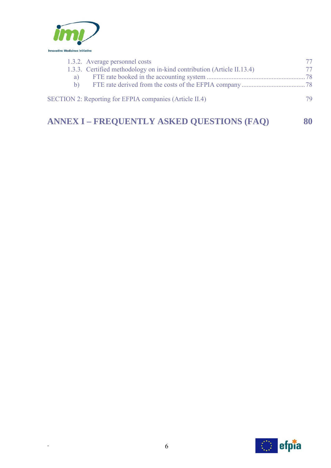

|    | 1.3.2. Average personnel costs                                         | 77. |
|----|------------------------------------------------------------------------|-----|
|    | 1.3.3. Certified methodology on in-kind contribution (Article II.13.4) | 77. |
| a) |                                                                        |     |
| h) |                                                                        |     |
|    | <b>SECTION 2: Reporting for EFPIA companies (Article II.4)</b>         | 79  |
|    |                                                                        |     |

# **ANNEX I – FREQUENTLY ASKED QUESTIONS (FAQ)** 80

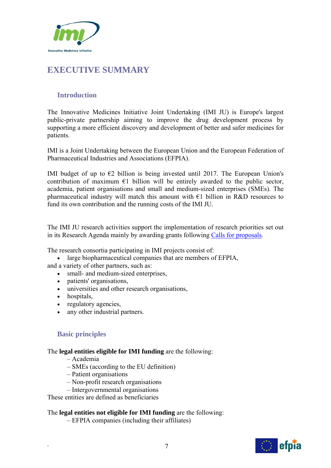

# **EXECUTIVE SUMMARY**

# **Introduction**

The Innovative Medicines Initiative Joint Undertaking (IMI JU) is Europe's largest public-private partnership aiming to improve the drug development process by supporting a more efficient discovery and development of better and safer medicines for patients.

IMI is a Joint Undertaking between the European Union and the European Federation of Pharmaceutical Industries and Associations (EFPIA).

IMI budget of up to  $\epsilon$ 2 billion is being invested until 2017. The European Union's contribution of maximum  $E1$  billion will be entirely awarded to the public sector, academia, patient organisations and small and medium-sized enterprises (SMEs). The pharmaceutical industry will match this amount with  $\epsilon$ 1 billion in R&D resources to fund its own contribution and the running costs of the IMI JU.

The IMI JU research activities support the implementation of research priorities set out in its Research Agenda mainly by awarding grants following Calls for proposals.

The research consortia participating in IMI projects consist of:

 large biopharmaceutical companies that are members of EFPIA, and a variety of other partners, such as:

- small- and medium-sized enterprises,
- patients' organisations,
- universities and other research organisations,
- hospitals,
- regulatory agencies,
- any other industrial partners.

# **Basic principles**

#### The **legal entities eligible for IMI funding** are the following:

- Academia
- SMEs (according to the EU definition)
- Patient organisations
- Non-profit research organisations
- Intergovernmental organisations

These entities are defined as beneficiaries

#### The **legal entities not eligible for IMI funding** are the following:

– EFPIA companies (including their affiliates)

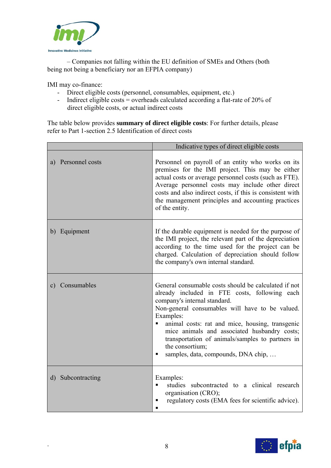

 – Companies not falling within the EU definition of SMEs and Others (both being not being a beneficiary nor an EFPIA company)

IMI may co-finance:

- Direct eligible costs (personnel, consumables, equipment, etc.)
- Indirect eligible costs = overheads calculated according a flat-rate of 20% of direct eligible costs, or actual indirect costs

The table below provides **summary of direct eligible costs**: For further details, please refer to Part 1-section 2.5 Identification of direct costs

|                    | Indicative types of direct eligible costs                                                                                                                                                                                                                                                                                                                                                                                   |
|--------------------|-----------------------------------------------------------------------------------------------------------------------------------------------------------------------------------------------------------------------------------------------------------------------------------------------------------------------------------------------------------------------------------------------------------------------------|
| a) Personnel costs | Personnel on payroll of an entity who works on its<br>premises for the IMI project. This may be either<br>actual costs or average personnel costs (such as FTE).<br>Average personnel costs may include other direct<br>costs and also indirect costs, if this is consistent with<br>the management principles and accounting practices<br>of the entity.                                                                   |
| b) Equipment       | If the durable equipment is needed for the purpose of<br>the IMI project, the relevant part of the depreciation<br>according to the time used for the project can be<br>charged. Calculation of depreciation should follow<br>the company's own internal standard.                                                                                                                                                          |
| c) Consumables     | General consumable costs should be calculated if not<br>already included in FTE costs, following each<br>company's internal standard.<br>Non-general consumables will have to be valued.<br>Examples:<br>animal costs: rat and mice, housing, transgenic<br>mice animals and associated husbandry costs;<br>transportation of animals/samples to partners in<br>the consortium;<br>samples, data, compounds, DNA chip,<br>п |
| d) Subcontracting  | Examples:<br>studies subcontracted to a clinical research<br>organisation (CRO);<br>regulatory costs (EMA fees for scientific advice).                                                                                                                                                                                                                                                                                      |

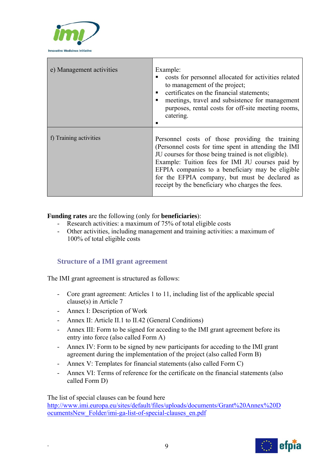

| e) Management activities | Example:<br>costs for personnel allocated for activities related<br>to management of the project;<br>certificates on the financial statements;<br>meetings, travel and subsistence for management<br>purposes, rental costs for off-site meeting rooms,<br>catering.                                                                                                           |
|--------------------------|--------------------------------------------------------------------------------------------------------------------------------------------------------------------------------------------------------------------------------------------------------------------------------------------------------------------------------------------------------------------------------|
| f) Training activities   | Personnel costs of those providing the training<br>(Personnel costs for time spent in attending the IMI)<br>JU courses for those being trained is not eligible).<br>Example: Tuition fees for IMI JU courses paid by<br>EFPIA companies to a beneficiary may be eligible<br>for the EFPIA company, but must be declared as<br>receipt by the beneficiary who charges the fees. |

#### **Funding rates** are the following (only for **beneficiaries**):

- Research activities: a maximum of 75% of total eligible costs
- Other activities, including management and training activities: a maximum of 100% of total eligible costs

# **Structure of a IMI grant agreement**

The IMI grant agreement is structured as follows:

- Core grant agreement: Articles 1 to 11, including list of the applicable special clause(s) in Article 7
- Annex I: Description of Work
- Annex II: Article II.1 to II.42 (General Conditions)
- Annex III: Form to be signed for acceding to the IMI grant agreement before its entry into force (also called Form A)
- Annex IV: Form to be signed by new participants for acceding to the IMI grant agreement during the implementation of the project (also called Form B)
- Annex V: Templates for financial statements (also called Form C)
- Annex VI: Terms of reference for the certificate on the financial statements (also called Form D)

The list of special clauses can be found here

http://www.imi.europa.eu/sites/default/files/uploads/documents/Grant%20Annex%20D ocumentsNew\_Folder/imi-ga-list-of-special-clauses\_en.pdf

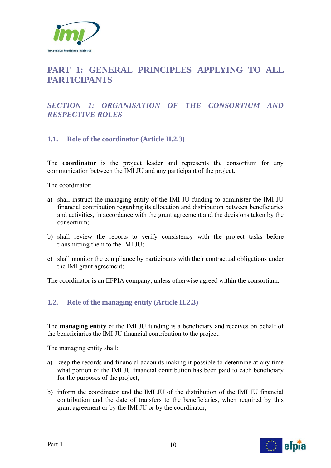

# **PART 1: GENERAL PRINCIPLES APPLYING TO ALL PARTICIPANTS**

# *SECTION 1: ORGANISATION OF THE CONSORTIUM AND RESPECTIVE ROLES*

# **1.1. Role of the coordinator (Article II.2.3)**

The **coordinator** is the project leader and represents the consortium for any communication between the IMI JU and any participant of the project.

The coordinator:

- a) shall instruct the managing entity of the IMI JU funding to administer the IMI JU financial contribution regarding its allocation and distribution between beneficiaries and activities, in accordance with the grant agreement and the decisions taken by the consortium;
- b) shall review the reports to verify consistency with the project tasks before transmitting them to the IMI JU;
- c) shall monitor the compliance by participants with their contractual obligations under the IMI grant agreement;

The coordinator is an EFPIA company, unless otherwise agreed within the consortium.

# **1.2. Role of the managing entity (Article II.2.3)**

The **managing entity** of the IMI JU funding is a beneficiary and receives on behalf of the beneficiaries the IMI JU financial contribution to the project.

The managing entity shall:

- a) keep the records and financial accounts making it possible to determine at any time what portion of the IMI JU financial contribution has been paid to each beneficiary for the purposes of the project,
- b) inform the coordinator and the IMI JU of the distribution of the IMI JU financial contribution and the date of transfers to the beneficiaries, when required by this grant agreement or by the IMI JU or by the coordinator;

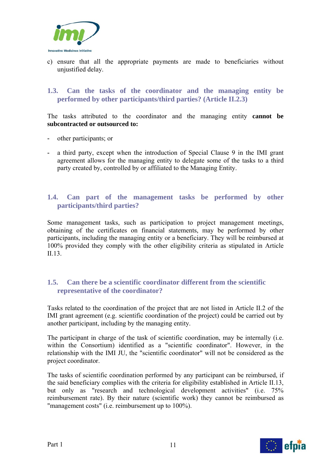

c) ensure that all the appropriate payments are made to beneficiaries without unjustified delay.

#### **1.3. Can the tasks of the coordinator and the managing entity be performed by other participants/third parties? (Article II.2.3)**

The tasks attributed to the coordinator and the managing entity **cannot be subcontracted or outsourced to:** 

- **-** other participants; or
- **-** a third party, except when the introduction of Special Clause 9 in the IMI grant agreement allows for the managing entity to delegate some of the tasks to a third party created by, controlled by or affiliated to the Managing Entity.

#### **1.4. Can part of the management tasks be performed by other participants/third parties?**

Some management tasks, such as participation to project management meetings, obtaining of the certificates on financial statements, may be performed by other participants, including the managing entity or a beneficiary. They will be reimbursed at 100% provided they comply with the other eligibility criteria as stipulated in Article  $II.13$ 

# **1.5. Can there be a scientific coordinator different from the scientific representative of the coordinator?**

Tasks related to the coordination of the project that are not listed in Article II.2 of the IMI grant agreement (e.g. scientific coordination of the project) could be carried out by another participant, including by the managing entity.

The participant in charge of the task of scientific coordination, may be internally (i.e. within the Consortium) identified as a "scientific coordinator". However, in the relationship with the IMI JU, the "scientific coordinator" will not be considered as the project coordinator.

The tasks of scientific coordination performed by any participant can be reimbursed, if the said beneficiary complies with the criteria for eligibility established in Article II.13, but only as "research and technological development activities" (i.e. 75% reimbursement rate). By their nature (scientific work) they cannot be reimbursed as "management costs" (i.e. reimbursement up to 100%).

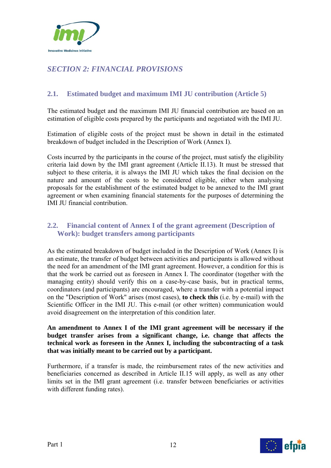

# *SECTION 2: FINANCIAL PROVISIONS*

# **2.1. Estimated budget and maximum IMI JU contribution (Article 5)**

The estimated budget and the maximum IMI JU financial contribution are based on an estimation of eligible costs prepared by the participants and negotiated with the IMI JU.

Estimation of eligible costs of the project must be shown in detail in the estimated breakdown of budget included in the Description of Work (Annex I).

Costs incurred by the participants in the course of the project, must satisfy the eligibility criteria laid down by the IMI grant agreement (Article II.13). It must be stressed that subject to these criteria, it is always the IMI JU which takes the final decision on the nature and amount of the costs to be considered eligible, either when analysing proposals for the establishment of the estimated budget to be annexed to the IMI grant agreement or when examining financial statements for the purposes of determining the IMI JU financial contribution.

# **2.2. Financial content of Annex I of the grant agreement (Description of Work): budget transfers among participants**

As the estimated breakdown of budget included in the Description of Work (Annex I) is an estimate, the transfer of budget between activities and participants is allowed without the need for an amendment of the IMI grant agreement. However, a condition for this is that the work be carried out as foreseen in Annex I. The coordinator (together with the managing entity) should verify this on a case-by-case basis, but in practical terms, coordinators (and participants) are encouraged, where a transfer with a potential impact on the "Description of Work" arises (most cases), **to check this** (i.e. by e-mail) with the Scientific Officer in the IMI JU. This e-mail (or other written) communication would avoid disagreement on the interpretation of this condition later.

**An amendment to Annex I of the IMI grant agreement will be necessary if the budget transfer arises from a significant change, i.e. change that affects the technical work as foreseen in the Annex I, including the subcontracting of a task that was initially meant to be carried out by a participant.**

Furthermore, if a transfer is made, the reimbursement rates of the new activities and beneficiaries concerned as described in Article II.15 will apply, as well as any other limits set in the IMI grant agreement (i.e. transfer between beneficiaries or activities with different funding rates).

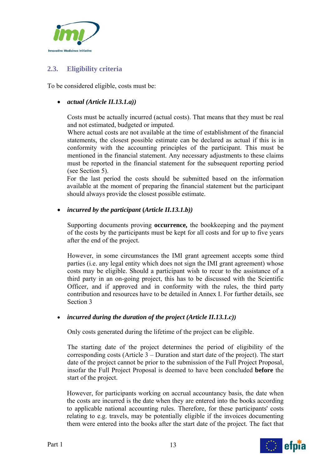

# **2.3. Eligibility criteria**

To be considered eligible, costs must be:

#### *actual (Article II.13.1.a))*

Costs must be actually incurred (actual costs). That means that they must be real and not estimated, budgeted or imputed.

Where actual costs are not available at the time of establishment of the financial statements, the closest possible estimate can be declared as actual if this is in conformity with the accounting principles of the participant. This must be mentioned in the financial statement. Any necessary adjustments to these claims must be reported in the financial statement for the subsequent reporting period (see Section 5).

For the last period the costs should be submitted based on the information available at the moment of preparing the financial statement but the participant should always provide the closest possible estimate.

#### *incurred by the participant* **(***Article II.13.1.b))*

Supporting documents proving **occurrence,** the bookkeeping and the payment of the costs by the participants must be kept for all costs and for up to five years after the end of the project.

However, in some circumstances the IMI grant agreement accepts some third parties (i.e. any legal entity which does not sign the IMI grant agreement) whose costs may be eligible. Should a participant wish to recur to the assistance of a third party in an on-going project, this has to be discussed with the Scientific Officer, and if approved and in conformity with the rules, the third party contribution and resources have to be detailed in Annex I. For further details, see Section 3

# *incurred during the duration of the project (Article II.13.1.c))*

Only costs generated during the lifetime of the project can be eligible.

The starting date of the project determines the period of eligibility of the corresponding costs (Article 3 – Duration and start date of the project). The start date of the project cannot be prior to the submission of the Full Project Proposal, insofar the Full Project Proposal is deemed to have been concluded **before** the start of the project.

However, for participants working on accrual accountancy basis, the date when the costs are incurred is the date when they are entered into the books according to applicable national accounting rules. Therefore, for these participants' costs relating to e.g. travels, may be potentially eligible if the invoices documenting them were entered into the books after the start date of the project. The fact that

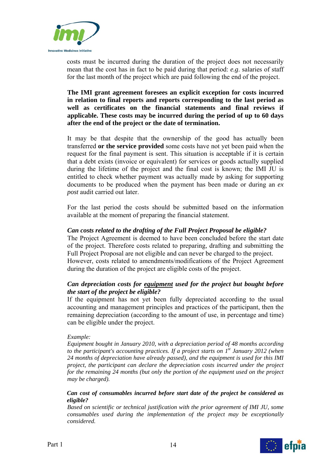

costs must be incurred during the duration of the project does not necessarily mean that the cost has in fact to be paid during that period: *e.g*. salaries of staff for the last month of the project which are paid following the end of the project.

**The IMI grant agreement foresees an explicit exception for costs incurred in relation to final reports and reports corresponding to the last period as well as certificates on the financial statements and final reviews if applicable. These costs may be incurred during the period of up to 60 days after the end of the project or the date of termination.** 

It may be that despite that the ownership of the good has actually been transferred **or the service provided** some costs have not yet been paid when the request for the final payment is sent. This situation is acceptable if it is certain that a debt exists (invoice or equivalent) for services or goods actually supplied during the lifetime of the project and the final cost is known; the IMI JU is entitled to check whether payment was actually made by asking for supporting documents to be produced when the payment has been made or during an *ex post* audit carried out later.

For the last period the costs should be submitted based on the information available at the moment of preparing the financial statement.

#### *Can costs related to the drafting of the Full Project Proposal be eligible?*

The Project Agreement is deemed to have been concluded before the start date of the project. Therefore costs related to preparing, drafting and submitting the Full Project Proposal are not eligible and can never be charged to the project. However, costs related to amendments/modifications of the Project Agreement during the duration of the project are eligible costs of the project.

#### *Can depreciation costs for equipment used for the project but bought before the start of the project be eligible?*

If the equipment has not yet been fully depreciated according to the usual accounting and management principles and practices of the participant, then the remaining depreciation (according to the amount of use, in percentage and time) can be eligible under the project.

#### *Example:*

*Equipment bought in January 2010, with a depreciation period of 48 months according*  to the participant's accounting practices. If a project starts on 1<sup>st</sup> January 2012 (when *24 months of depreciation have already passed), and the equipment is used for this IMI project, the participant can declare the depreciation costs incurred under the project for the remaining 24 months (but only the portion of the equipment used on the project may be charged).* 

#### *Can cost of consumables incurred before start date of the project be considered as eligible?*

*Based on scientific or technical justification with the prior agreement of IMI JU, some consumables used during the implementation of the project may be exceptionally considered.* 

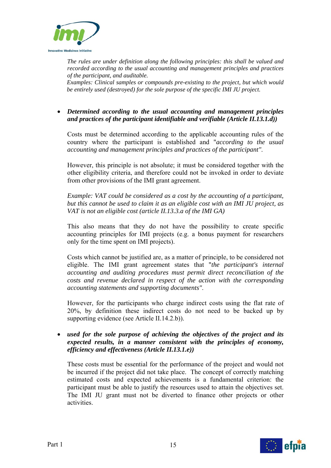

*The rules are under definition along the following principles: this shall be valued and recorded according to the usual accounting and management principles and practices of the participant, and auditable.* 

*Examples: Clinical samples or compounds pre-existing to the project, but which would be entirely used (destroyed) for the sole purpose of the specific IMI JU project.* 

#### *Determined according to the usual accounting and management principles and practices of the participant identifiable and verifiable (Article II.13.1.d))*

Costs must be determined according to the applicable accounting rules of the country where the participant is established and "*according to the usual accounting and management principles and practices of the participant"*.

However, this principle is not absolute; it must be considered together with the other eligibility criteria, and therefore could not be invoked in order to deviate from other provisions of the IMI grant agreement.

*Example: VAT could be considered as a cost by the accounting of a participant, but this cannot be used to claim it as an eligible cost with an IMI JU project, as VAT is not an eligible cost (article II.13.3.a of the IMI GA)* 

This also means that they do not have the possibility to create specific accounting principles for IMI projects (e.g. a bonus payment for researchers only for the time spent on IMI projects).

Costs which cannot be justified are, as a matter of principle, to be considered not eligible. The IMI grant agreement states that "*the participant's internal accounting and auditing procedures must permit direct reconciliation of the costs and revenue declared in respect of the action with the corresponding accounting statements and supporting documents"*.

However, for the participants who charge indirect costs using the flat rate of 20%, by definition these indirect costs do not need to be backed up by supporting evidence (see Article II.14.2.b)).

 *used for the sole purpose of achieving the objectives of the project and its expected results, in a manner consistent with the principles of economy, efficiency and effectiveness (Article II.13.1.e))* 

These costs must be essential for the performance of the project and would not be incurred if the project did not take place. The concept of correctly matching estimated costs and expected achievements is a fundamental criterion: the participant must be able to justify the resources used to attain the objectives set. The IMI JU grant must not be diverted to finance other projects or other activities.

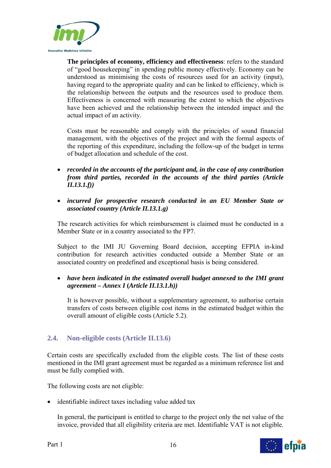

**The principles of economy, efficiency and effectiveness**: refers to the standard of "good housekeeping" in spending public money effectively. Economy can be understood as minimising the costs of resources used for an activity (input), having regard to the appropriate quality and can be linked to efficiency, which is the relationship between the outputs and the resources used to produce them. Effectiveness is concerned with measuring the extent to which the objectives have been achieved and the relationship between the intended impact and the actual impact of an activity.

Costs must be reasonable and comply with the principles of sound financial management, with the objectives of the project and with the formal aspects of the reporting of this expenditure, including the follow-up of the budget in terms of budget allocation and schedule of the cost.

- *recorded in the accounts of the participant and, in the case of any contribution from third parties, recorded in the accounts of the third parties (Article II.13.1.f))*
- *incurred for prospective research conducted in an EU Member State or associated country (Article II.13.1.g)*

The research activities for which reimbursement is claimed must be conducted in a Member State or in a country associated to the FP7.

Subject to the IMI JU Governing Board decision, accepting EFPIA in-kind contribution for research activities conducted outside a Member State or an associated country on predefined and exceptional basis is being considered.

# *have been indicated in the estimated overall budget annexed to the IMI grant agreement – Annex I* **(***Article II.13.1.h))*

It is however possible, without a supplementary agreement, to authorise certain transfers of costs between eligible cost items in the estimated budget within the overall amount of eligible costs (Article 5.2).

# **2.4. Non-eligible costs (Article II.13.6)**

Certain costs are specifically excluded from the eligible costs. The list of these costs mentioned in the IMI grant agreement must be regarded as a minimum reference list and must be fully complied with.

The following costs are not eligible:

• identifiable indirect taxes including value added tax

In general, the participant is entitled to charge to the project only the net value of the invoice, provided that all eligibility criteria are met. Identifiable VAT is not eligible.

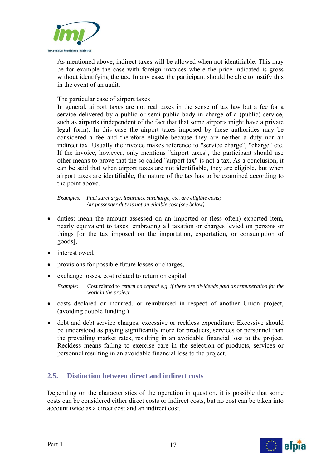

As mentioned above, indirect taxes will be allowed when not identifiable. This may be for example the case with foreign invoices where the price indicated is gross without identifying the tax. In any case, the participant should be able to justify this in the event of an audit.

#### The particular case of airport taxes

In general, airport taxes are not real taxes in the sense of tax law but a fee for a service delivered by a public or semi-public body in charge of a (public) service, such as airports (independent of the fact that that some airports might have a private legal form). In this case the airport taxes imposed by these authorities may be considered a fee and therefore eligible because they are neither a duty nor an indirect tax. Usually the invoice makes reference to "service charge", "charge" etc. If the invoice, however, only mentions "airport taxes", the participant should use other means to prove that the so called "airport tax" is not a tax. As a conclusion, it can be said that when airport taxes are not identifiable, they are eligible, but when airport taxes are identifiable, the nature of the tax has to be examined according to the point above.

*Examples: Fuel surcharge, insurance surcharge, etc. are eligible costs; Air passenger duty is not an eligible cost (see below)* 

- duties: mean the amount assessed on an imported or (less often) exported item, nearly equivalent to taxes, embracing all taxation or charges levied on persons or things [or the tax imposed on the importation, exportation, or consumption of goods],
- interest owed.
- provisions for possible future losses or charges,
- exchange losses, cost related to return on capital,

*Example:* Cost related to *return on capital e.g. if there are dividends paid as remuneration for the work in the project.*

- costs declared or incurred, or reimbursed in respect of another Union project, (avoiding double funding )
- debt and debt service charges, excessive or reckless expenditure: Excessive should be understood as paying significantly more for products, services or personnel than the prevailing market rates, resulting in an avoidable financial loss to the project. Reckless means failing to exercise care in the selection of products, services or personnel resulting in an avoidable financial loss to the project.

# **2.5. Distinction between direct and indirect costs**

Depending on the characteristics of the operation in question, it is possible that some costs can be considered either direct costs or indirect costs, but no cost can be taken into account twice as a direct cost and an indirect cost.

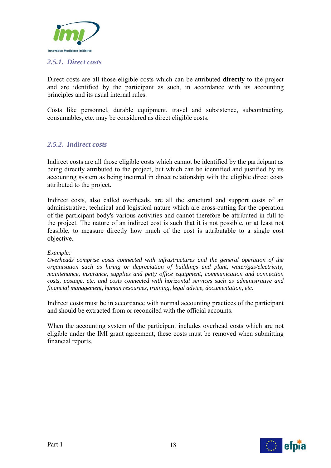

#### *2.5.1. Direct costs*

Direct costs are all those eligible costs which can be attributed **directly** to the project and are identified by the participant as such, in accordance with its accounting principles and its usual internal rules.

Costs like personnel, durable equipment, travel and subsistence, subcontracting, consumables, etc. may be considered as direct eligible costs.

# *2.5.2. Indirect costs*

Indirect costs are all those eligible costs which cannot be identified by the participant as being directly attributed to the project, but which can be identified and justified by its accounting system as being incurred in direct relationship with the eligible direct costs attributed to the project.

Indirect costs, also called overheads, are all the structural and support costs of an administrative, technical and logistical nature which are cross-cutting for the operation of the participant body's various activities and cannot therefore be attributed in full to the project. The nature of an indirect cost is such that it is not possible, or at least not feasible, to measure directly how much of the cost is attributable to a single cost objective.

#### *Example:*

*Overheads comprise costs connected with infrastructures and the general operation of the organisation such as hiring or depreciation of buildings and plant, water/gas/electricity, maintenance, insurance, supplies and petty office equipment, communication and connection costs, postage, etc. and costs connected with horizontal services such as administrative and financial management, human resources, training, legal advice, documentation, etc.* 

Indirect costs must be in accordance with normal accounting practices of the participant and should be extracted from or reconciled with the official accounts.

When the accounting system of the participant includes overhead costs which are not eligible under the IMI grant agreement, these costs must be removed when submitting financial reports.

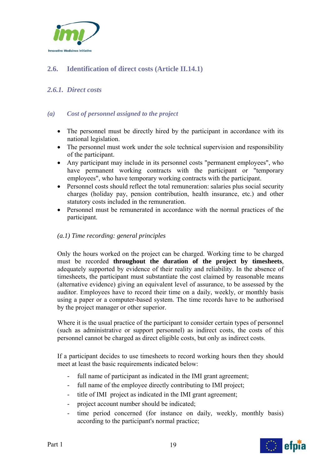

# **2.6. Identification of direct costs (Article II.14.1)**

# *2.6.1. Direct costs*

#### *(a) Cost of personnel assigned to the project*

- The personnel must be directly hired by the participant in accordance with its national legislation.
- The personnel must work under the sole technical supervision and responsibility of the participant.
- Any participant may include in its personnel costs "permanent employees", who have permanent working contracts with the participant or "temporary employees", who have temporary working contracts with the participant.
- Personnel costs should reflect the total remuneration: salaries plus social security charges (holiday pay, pension contribution, health insurance, etc.) and other statutory costs included in the remuneration.
- Personnel must be remunerated in accordance with the normal practices of the participant.

#### *(a.1) Time recording: general principles*

Only the hours worked on the project can be charged. Working time to be charged must be recorded **throughout the duration of the project by timesheets**, adequately supported by evidence of their reality and reliability. In the absence of timesheets, the participant must substantiate the cost claimed by reasonable means (alternative evidence) giving an equivalent level of assurance, to be assessed by the auditor. Employees have to record their time on a daily, weekly, or monthly basis using a paper or a computer-based system. The time records have to be authorised by the project manager or other superior.

Where it is the usual practice of the participant to consider certain types of personnel (such as administrative or support personnel) as indirect costs, the costs of this personnel cannot be charged as direct eligible costs, but only as indirect costs.

If a participant decides to use timesheets to record working hours then they should meet at least the basic requirements indicated below:

- full name of participant as indicated in the IMI grant agreement;
- full name of the employee directly contributing to IMI project;
- title of IMI project as indicated in the IMI grant agreement;
- project account number should be indicated;
- time period concerned (for instance on daily, weekly, monthly basis) according to the participant's normal practice;

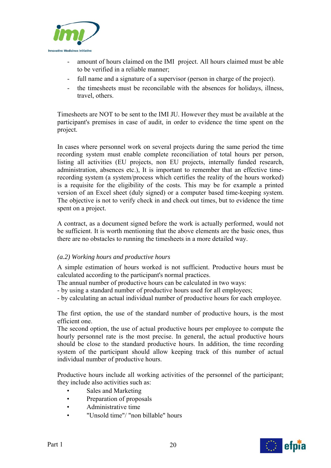

- amount of hours claimed on the IMI project. All hours claimed must be able to be verified in a reliable manner;
- full name and a signature of a supervisor (person in charge of the project).
- the timesheets must be reconcilable with the absences for holidays, illness, travel, others.

Timesheets are NOT to be sent to the IMI JU. However they must be available at the participant's premises in case of audit, in order to evidence the time spent on the project.

In cases where personnel work on several projects during the same period the time recording system must enable complete reconciliation of total hours per person, listing all activities (EU projects, non EU projects, internally funded research, administration, absences etc.), It is important to remember that an effective timerecording system (a system/process which certifies the reality of the hours worked) is a requisite for the eligibility of the costs. This may be for example a printed version of an Excel sheet (duly signed) or a computer based time-keeping system. The objective is not to verify check in and check out times, but to evidence the time spent on a project.

A contract, as a document signed before the work is actually performed, would not be sufficient. It is worth mentioning that the above elements are the basic ones, thus there are no obstacles to running the timesheets in a more detailed way.

#### *(a.2) Working hours and productive hours*

A simple estimation of hours worked is not sufficient. Productive hours must be calculated according to the participant's normal practices.

The annual number of productive hours can be calculated in two ways:

- by using a standard number of productive hours used for all employees;

- by calculating an actual individual number of productive hours for each employee.

The first option, the use of the standard number of productive hours, is the most efficient one.

The second option, the use of actual productive hours per employee to compute the hourly personnel rate is the most precise. In general, the actual productive hours should be close to the standard productive hours. In addition, the time recording system of the participant should allow keeping track of this number of actual individual number of productive hours.

Productive hours include all working activities of the personnel of the participant; they include also activities such as:

- Sales and Marketing
- Preparation of proposals
- Administrative time
- "Unsold time"/ "non billable" hours

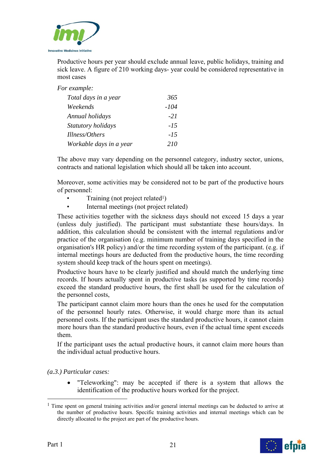

Productive hours per year should exclude annual leave, public holidays, training and sick leave. A figure of 210 working days- year could be considered representative in most cases

*For example:* 

| Total days in a year    | 365    |
|-------------------------|--------|
| Weekends                | -104   |
| Annual holidays         | $-21$  |
| Statutory holidays      | $-1.5$ |
| Illness/Others          | $-1.5$ |
| Workable days in a year | 210    |

The above may vary depending on the personnel category, industry sector, unions, contracts and national legislation which should all be taken into account.

Moreover, some activities may be considered not to be part of the productive hours of personnel:

- Training (not project related<sup>1</sup>)
- Internal meetings (not project related)

These activities together with the sickness days should not exceed 15 days a year (unless duly justified). The participant must substantiate these hours/days. In addition, this calculation should be consistent with the internal regulations and/or practice of the organisation (e.g. minimum number of training days specified in the organisation's HR policy) and/or the time recording system of the participant. (e.g. if internal meetings hours are deducted from the productive hours, the time recording system should keep track of the hours spent on meetings).

Productive hours have to be clearly justified and should match the underlying time records. If hours actually spent in productive tasks (as supported by time records) exceed the standard productive hours, the first shall be used for the calculation of the personnel costs,

The participant cannot claim more hours than the ones he used for the computation of the personnel hourly rates. Otherwise, it would charge more than its actual personnel costs. If the participant uses the standard productive hours, it cannot claim more hours than the standard productive hours, even if the actual time spent exceeds them.

If the participant uses the actual productive hours, it cannot claim more hours than the individual actual productive hours.

*(a.3.) Particular cases:* 

 "Teleworking": may be accepted if there is a system that allows the identification of the productive hours worked for the project.

 $<sup>1</sup>$  Time spent on general training activities and/or general internal meetings can be deducted to arrive at</sup> the number of productive hours. Specific training activities and internal meetings which can be directly allocated to the project are part of the productive hours.



1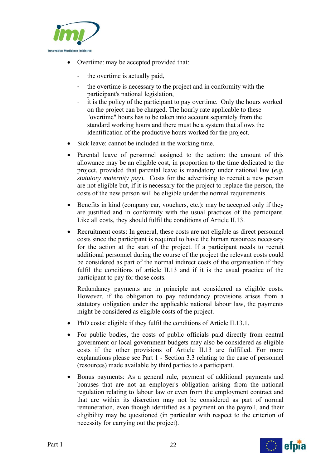

- Overtime: may be accepted provided that:
	- the overtime is actually paid,
	- the overtime is necessary to the project and in conformity with the participant's national legislation,
	- it is the policy of the participant to pay overtime. Only the hours worked on the project can be charged. The hourly rate applicable to these "overtime" hours has to be taken into account separately from the standard working hours and there must be a system that allows the identification of the productive hours worked for the project.
- Sick leave: cannot be included in the working time.
- Parental leave of personnel assigned to the action: the amount of this allowance may be an eligible cost, in proportion to the time dedicated to the project, provided that parental leave is mandatory under national law (*e.g. statutory maternity pay*). Costs for the advertising to recruit a new person are not eligible but, if it is necessary for the project to replace the person, the costs of the new person will be eligible under the normal requirements.
- Benefits in kind (company car, vouchers, etc.): may be accepted only if they are justified and in conformity with the usual practices of the participant. Like all costs, they should fulfil the conditions of Article II.13.
- Recruitment costs: In general, these costs are not eligible as direct personnel costs since the participant is required to have the human resources necessary for the action at the start of the project. If a participant needs to recruit additional personnel during the course of the project the relevant costs could be considered as part of the normal indirect costs of the organisation if they fulfil the conditions of article II.13 and if it is the usual practice of the participant to pay for those costs.

Redundancy payments are in principle not considered as eligible costs. However, if the obligation to pay redundancy provisions arises from a statutory obligation under the applicable national labour law, the payments might be considered as eligible costs of the project.

- PhD costs: eligible if they fulfil the conditions of Article II.13.1.
- For public bodies, the costs of public officials paid directly from central government or local government budgets may also be considered as eligible costs if the other provisions of Article II.13 are fulfilled. For more explanations please see Part 1 - Section 3.3 relating to the case of personnel (resources) made available by third parties to a participant.
- Bonus payments: As a general rule, payment of additional payments and bonuses that are not an employer's obligation arising from the national regulation relating to labour law or even from the employment contract and that are within its discretion may not be considered as part of normal remuneration, even though identified as a payment on the payroll, and their eligibility may be questioned (in particular with respect to the criterion of necessity for carrying out the project).

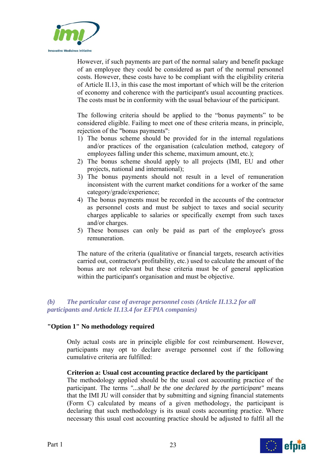

However, if such payments are part of the normal salary and benefit package of an employee they could be considered as part of the normal personnel costs. However, these costs have to be compliant with the eligibility criteria of Article II.13, in this case the most important of which will be the criterion of economy and coherence with the participant's usual accounting practices. The costs must be in conformity with the usual behaviour of the participant.

The following criteria should be applied to the "bonus payments" to be considered eligible. Failing to meet one of these criteria means, in principle, rejection of the "bonus payments":

- 1) The bonus scheme should be provided for in the internal regulations and/or practices of the organisation (calculation method, category of employees falling under this scheme, maximum amount, etc.);
- 2) The bonus scheme should apply to all projects (IMI, EU and other projects, national and international);
- 3) The bonus payments should not result in a level of remuneration inconsistent with the current market conditions for a worker of the same category/grade/experience;
- 4) The bonus payments must be recorded in the accounts of the contractor as personnel costs and must be subject to taxes and social security charges applicable to salaries or specifically exempt from such taxes and/or charges.
- 5) These bonuses can only be paid as part of the employee's gross remuneration.

The nature of the criteria (qualitative or financial targets, research activities carried out, contractor's profitability, etc.) used to calculate the amount of the bonus are not relevant but these criteria must be of general application within the participant's organisation and must be objective.

#### *(b) The particular case of average personnel costs (Article II.13.2 for all participants and Article II.13.4 for EFPIA companies)*

#### **"Option 1" No methodology required**

Only actual costs are in principle eligible for cost reimbursement. However, participants may opt to declare average personnel cost if the following cumulative criteria are fulfilled:

#### **Criterion a: Usual cost accounting practice declared by the participant**

The methodology applied should be the usual cost accounting practice of the participant. The terms *"...shall be the one declared by the participant"* means that the IMI JU will consider that by submitting and signing financial statements (Form C) calculated by means of a given methodology, the participant is declaring that such methodology is its usual costs accounting practice. Where necessary this usual cost accounting practice should be adjusted to fulfil all the

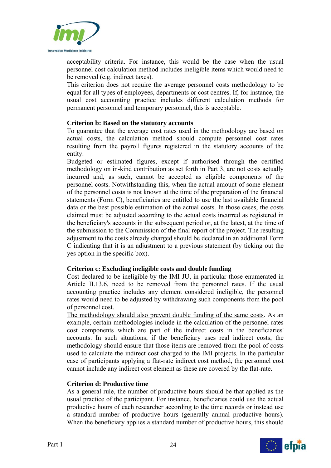

acceptability criteria. For instance, this would be the case when the usual personnel cost calculation method includes ineligible items which would need to be removed (e.g. indirect taxes).

This criterion does not require the average personnel costs methodology to be equal for all types of employees, departments or cost centres. If, for instance, the usual cost accounting practice includes different calculation methods for permanent personnel and temporary personnel, this is acceptable.

#### **Criterion b: Based on the statutory accounts**

To guarantee that the average cost rates used in the methodology are based on actual costs, the calculation method should compute personnel cost rates resulting from the payroll figures registered in the statutory accounts of the entity.

Budgeted or estimated figures, except if authorised through the certified methodology on in-kind contribution as set forth in Part 3, are not costs actually incurred and, as such, cannot be accepted as eligible components of the personnel costs. Notwithstanding this, when the actual amount of some element of the personnel costs is not known at the time of the preparation of the financial statements (Form C), beneficiaries are entitled to use the last available financial data or the best possible estimation of the actual costs. In those cases, the costs claimed must be adjusted according to the actual costs incurred as registered in the beneficiary's accounts in the subsequent period or, at the latest, at the time of the submission to the Commission of the final report of the project. The resulting adjustment to the costs already charged should be declared in an additional Form C indicating that it is an adjustment to a previous statement (by ticking out the yes option in the specific box).

#### **Criterion c: Excluding ineligible costs and double funding**

Cost declared to be ineligible by the IMI JU, in particular those enumerated in Article II.13.6, need to be removed from the personnel rates. If the usual accounting practice includes any element considered ineligible, the personnel rates would need to be adjusted by withdrawing such components from the pool of personnel cost.

The methodology should also prevent double funding of the same costs. As an example, certain methodologies include in the calculation of the personnel rates cost components which are part of the indirect costs in the beneficiaries' accounts. In such situations, if the beneficiary uses real indirect costs, the methodology should ensure that those items are removed from the pool of costs used to calculate the indirect cost charged to the IMI projects. In the particular case of participants applying a flat-rate indirect cost method, the personnel cost cannot include any indirect cost element as these are covered by the flat-rate.

#### **Criterion d: Productive time**

As a general rule, the number of productive hours should be that applied as the usual practice of the participant. For instance, beneficiaries could use the actual productive hours of each researcher according to the time records or instead use a standard number of productive hours (generally annual productive hours). When the beneficiary applies a standard number of productive hours, this should

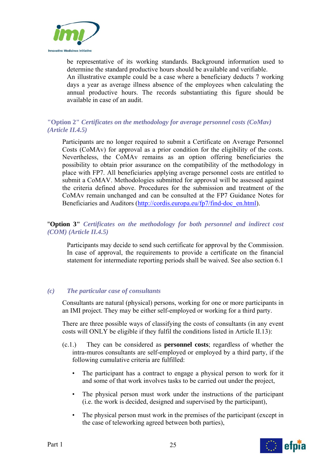

be representative of its working standards. Background information used to determine the standard productive hours should be available and verifiable. An illustrative example could be a case where a beneficiary deducts 7 working days a year as average illness absence of the employees when calculating the annual productive hours. The records substantiating this figure should be available in case of an audit.

#### **"Option 2"** *Certificates on the methodology for average personnel costs (CoMav) (Article II.4.5)*

Participants are no longer required to submit a Certificate on Average Personnel Costs (CoMAv) for approval as a prior condition for the eligibility of the costs. Nevertheless, the CoMAv remains as an option offering beneficiaries the possibility to obtain prior assurance on the compatibility of the methodology in place with FP7. All beneficiaries applying average personnel costs are entitled to submit a CoMAV. Methodologies submitted for approval will be assessed against the criteria defined above. Procedures for the submission and treatment of the CoMAv remain unchanged and can be consulted at the FP7 Guidance Notes for Beneficiaries and Auditors (http://cordis.europa.eu/fp7/find-doc\_en.html).

#### "**Option 3"** *Certificates on the methodology for both personnel and indirect cost (COM) (Article II.4.5)*

Participants may decide to send such certificate for approval by the Commission. In case of approval, the requirements to provide a certificate on the financial statement for intermediate reporting periods shall be waived. See also section 6.1

#### *(c) The particular case of consultants*

Consultants are natural (physical) persons, working for one or more participants in an IMI project. They may be either self-employed or working for a third party.

There are three possible ways of classifying the costs of consultants (in any event costs will ONLY be eligible if they fulfil the conditions listed in Article II.13):

- (c.1.) They can be considered as **personnel costs**; regardless of whether the intra-muros consultants are self-employed or employed by a third party, if the following cumulative criteria are fulfilled:
	- The participant has a contract to engage a physical person to work for it and some of that work involves tasks to be carried out under the project,
	- The physical person must work under the instructions of the participant (i.e. the work is decided, designed and supervised by the participant),
	- The physical person must work in the premises of the participant (except in the case of teleworking agreed between both parties),

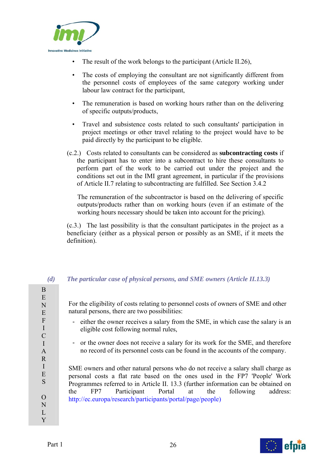

- The result of the work belongs to the participant (Article II.26),
- The costs of employing the consultant are not significantly different from the personnel costs of employees of the same category working under labour law contract for the participant,
- The remuneration is based on working hours rather than on the delivering of specific outputs/products,
- Travel and subsistence costs related to such consultants' participation in project meetings or other travel relating to the project would have to be paid directly by the participant to be eligible.
- (c.2.) Costs related to consultants can be considered as **subcontracting costs** if the participant has to enter into a subcontract to hire these consultants to perform part of the work to be carried out under the project and the conditions set out in the IMI grant agreement, in particular if the provisions of Article II.7 relating to subcontracting are fulfilled. See Section 3.4.2

The remuneration of the subcontractor is based on the delivering of specific outputs/products rather than on working hours (even if an estimate of the working hours necessary should be taken into account for the pricing).

(c.3.) The last possibility is that the consultant participates in the project as a beneficiary (either as a physical person or possibly as an SME, if it meets the definition).

# *(d) The particular case of physical persons, and SME owners (Article II.13.3)*

| For the eligibility of costs relating to personnel costs of owners of SME and other<br>natural persons, there are two possibilities:                                                                                                                                                                                                                                                |
|-------------------------------------------------------------------------------------------------------------------------------------------------------------------------------------------------------------------------------------------------------------------------------------------------------------------------------------------------------------------------------------|
| - either the owner receives a salary from the SME, in which case the salary is an<br>eligible cost following normal rules,                                                                                                                                                                                                                                                          |
| - or the owner does not receive a salary for its work for the SME, and therefore<br>no record of its personnel costs can be found in the accounts of the company.                                                                                                                                                                                                                   |
| SME owners and other natural persons who do not receive a salary shall charge as<br>personal costs a flat rate based on the ones used in the FP7 'People' Work<br>Programmes referred to in Article II. 13.3 (further information can be obtained on<br>FP7 Participant Portal at the<br>following<br>the<br>address:<br>http://ec.europa/research/participants/portal/page/people) |

I E S O N L Y

B E N E F I  $\mathcal{C}$ I A R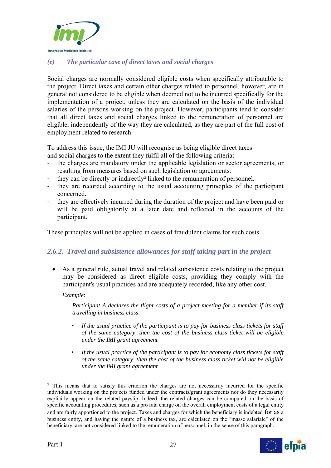

# *(e) The particular case of direct taxes and social charges*

Social charges are normally considered eligible costs when specifically attributable to the project. Direct taxes and certain other charges related to personnel, however, are in general not considered to be eligible when deemed not to be incurred specifically for the implementation of a project, unless they are calculated on the basis of the individual salaries of the persons working on the project. However, participants tend to consider that all direct taxes and social charges linked to the remuneration of personnel are eligible, independently of the way they are calculated, as they are part of the full cost of employment related to research.

To address this issue, the IMI JU will recognise as being eligible direct taxes and social charges to the extent they fulfil all of the following criteria:

- the charges are mandatory under the applicable legislation or sector agreements, or resulting from measures based on such legislation or agreements.
- they can be directly or indirectly<sup>2</sup> linked to the remuneration of personnel.
- they are recorded according to the usual accounting principles of the participant concerned.
- they are effectively incurred during the duration of the project and have been paid or will be paid obligatorily at a later date and reflected in the accounts of the participant.

These principles will not be applied in cases of fraudulent claims for such costs.

# *2.6.2. Travel and subsistence allowances for staff taking part in the project*

 As a general rule, actual travel and related subsistence costs relating to the project may be considered as direct eligible costs, providing they comply with the participant's usual practices and are adequately recorded, like any other cost.

*Example*:

*Participant A declares the flight costs of a project meeting for a member if its staff travelling in business class:* 

- *If the usual practice of the participant is to pay for business class tickets for staff of the same category, then the cost of the business class ticket will be eligible under the IMI grant agreement*
- *If the usual practice of the participant is to pay for economy class tickets for staff of the same category, then the cost of the business class ticket will not be eligible under the IMI grant agreement*

<sup>&</sup>lt;sup>2</sup> This means that to satisfy this criterion the charges are not necessarily incurred for the specific individuals working on the projects funded under the contracts/grant agreements nor do they necessarily explicitly appear on the related payslip. Indeed, the related charges can be computed on the basis of specific accounting procedures, such as a pro rata charge on the overall employment costs of a legal entity and are fairly apportioned to the project. Taxes and charges for which the beneficiary is indebted for as a business entity, and having the nature of a business tax, are calculated on the "masse salariale" of the beneficiary, are not considered linked to the remuneration of personnel, in the sense of this paragraph.



1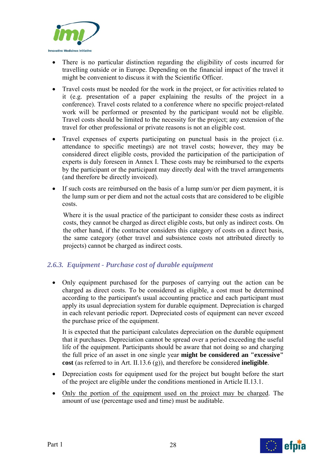

- There is no particular distinction regarding the eligibility of costs incurred for travelling outside or in Europe. Depending on the financial impact of the travel it might be convenient to discuss it with the Scientific Officer.
- Travel costs must be needed for the work in the project, or for activities related to it (e.g. presentation of a paper explaining the results of the project in a conference). Travel costs related to a conference where no specific project-related work will be performed or presented by the participant would not be eligible. Travel costs should be limited to the necessity for the project; any extension of the travel for other professional or private reasons is not an eligible cost.
- Travel expenses of experts participating on punctual basis in the project (i.e. attendance to specific meetings) are not travel costs; however, they may be considered direct eligible costs, provided the participation of the participation of experts is duly foreseen in Annex I. These costs may be reimbursed to the experts by the participant or the participant may directly deal with the travel arrangements (and therefore be directly invoiced).
- If such costs are reimbursed on the basis of a lump sum/or per diem payment, it is the lump sum or per diem and not the actual costs that are considered to be eligible costs.

Where it is the usual practice of the participant to consider these costs as indirect costs, they cannot be charged as direct eligible costs, but only as indirect costs. On the other hand, if the contractor considers this category of costs on a direct basis, the same category (other travel and subsistence costs not attributed directly to projects) cannot be charged as indirect costs.

# *2.6.3. Equipment - Purchase cost of durable equipment*

 Only equipment purchased for the purposes of carrying out the action can be charged as direct costs. To be considered as eligible, a cost must be determined according to the participant's usual accounting practice and each participant must apply its usual depreciation system for durable equipment. Depreciation is charged in each relevant periodic report. Depreciated costs of equipment can never exceed the purchase price of the equipment.

It is expected that the participant calculates depreciation on the durable equipment that it purchases. Depreciation cannot be spread over a period exceeding the useful life of the equipment. Participants should be aware that not doing so and charging the full price of an asset in one single year **might be considered an "excessive" cost** (as referred to in Art. II.13.6 (g)), and therefore be considered **ineligible**.

- Depreciation costs for equipment used for the project but bought before the start of the project are eligible under the conditions mentioned in Article II.13.1.
- Only the portion of the equipment used on the project may be charged. The amount of use (percentage used and time) must be auditable.

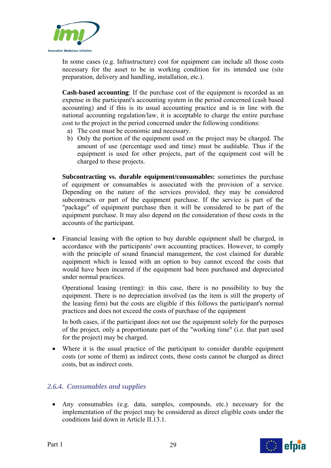

In some cases (e.g. Infrastructure) cost for equipment can include all those costs necessary for the asset to be in working condition for its intended use (site preparation, delivery and handling, installation, etc.).

**Cash-based accounting**: If the purchase cost of the equipment is recorded as an expense in the participant's accounting system in the period concerned (cash based accounting) and if this is its usual accounting practice and is in line with the national accounting regulation/law, it is acceptable to charge the entire purchase cost to the project in the period concerned under the following conditions:

- a) The cost must be economic and necessary.
- b) Only the portion of the equipment used on the project may be charged. The amount of use (percentage used and time) must be auditable. Thus if the equipment is used for other projects, part of the equipment cost will be charged to these projects.

**Subcontracting vs. durable equipment/consumables:** sometimes the purchase of equipment or consumables is associated with the provision of a service. Depending on the nature of the services provided, they may be considered subcontracts or part of the equipment purchase. If the service is part of the "package" of equipment purchase then it will be considered to be part of the equipment purchase. It may also depend on the consideration of these costs in the accounts of the participant.

• Financial leasing with the option to buy durable equipment shall be charged, in accordance with the participants' own accounting practices. However, to comply with the principle of sound financial management, the cost claimed for durable equipment which is leased with an option to buy cannot exceed the costs that would have been incurred if the equipment had been purchased and depreciated under normal practices.

Operational leasing (renting): in this case, there is no possibility to buy the equipment. There is no depreciation involved (as the item is still the property of the leasing firm) but the costs are eligible if this follows the participant's normal practices and does not exceed the costs of purchase of the equipment

In both cases, if the participant does not use the equipment solely for the purposes of the project, only a proportionate part of the "working time" (i.e. that part used for the project) may be charged.

 Where it is the usual practice of the participant to consider durable equipment costs (or some of them) as indirect costs, those costs cannot be charged as direct costs, but as indirect costs.

# *2.6.4. Consumables and supplies*

 Any consumables (e.g. data, samples, compounds, etc.) necessary for the implementation of the project may be considered as direct eligible costs under the conditions laid down in Article II.13.1.



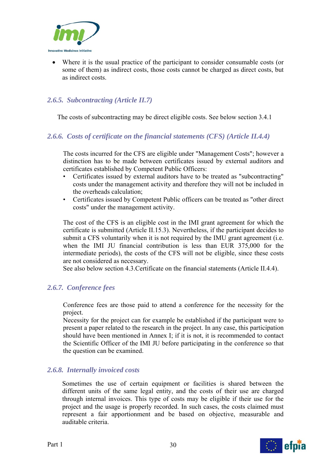

 Where it is the usual practice of the participant to consider consumable costs (or some of them) as indirect costs, those costs cannot be charged as direct costs, but as indirect costs.

# *2.6.5. Subcontracting (Article II.7)*

The costs of subcontracting may be direct eligible costs. See below section 3.4.1

#### *2.6.6. Costs of certificate on the financial statements (CFS) (Article II.4.4)*

The costs incurred for the CFS are eligible under "Management Costs"; however a distinction has to be made between certificates issued by external auditors and certificates established by Competent Public Officers:

- Certificates issued by external auditors have to be treated as "subcontracting" costs under the management activity and therefore they will not be included in the overheads calculation;
- Certificates issued by Competent Public officers can be treated as "other direct costs" under the management activity.

The cost of the CFS is an eligible cost in the IMI grant agreement for which the certificate is submitted (Article II.15.3). Nevertheless, if the participant decides to submit a CFS voluntarily when it is not required by the IMU grant agreement (i.e. when the IMI JU financial contribution is less than EUR 375,000 for the intermediate periods), the costs of the CFS will not be eligible, since these costs are not considered as necessary.

See also below section 4.3.Certificate on the financial statements (Article II.4.4).

#### *2.6.7. Conference fees*

Conference fees are those paid to attend a conference for the necessity for the project.

Necessity for the project can for example be established if the participant were to present a paper related to the research in the project. In any case, this participation should have been mentioned in Annex I; if it is not, it is recommended to contact the Scientific Officer of the IMI JU before participating in the conference so that the question can be examined.

#### *2.6.8. Internally invoiced costs*

Sometimes the use of certain equipment or facilities is shared between the different units of the same legal entity, and the costs of their use are charged through internal invoices. This type of costs may be eligible if their use for the project and the usage is properly recorded. In such cases, the costs claimed must represent a fair apportionment and be based on objective, measurable and auditable criteria.

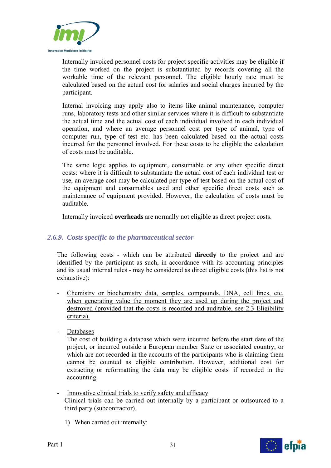

Internally invoiced personnel costs for project specific activities may be eligible if the time worked on the project is substantiated by records covering all the workable time of the relevant personnel. The eligible hourly rate must be calculated based on the actual cost for salaries and social charges incurred by the participant.

Internal invoicing may apply also to items like animal maintenance, computer runs, laboratory tests and other similar services where it is difficult to substantiate the actual time and the actual cost of each individual involved in each individual operation, and where an average personnel cost per type of animal, type of computer run, type of test etc. has been calculated based on the actual costs incurred for the personnel involved. For these costs to be eligible the calculation of costs must be auditable.

The same logic applies to equipment, consumable or any other specific direct costs: where it is difficult to substantiate the actual cost of each individual test or use, an average cost may be calculated per type of test based on the actual cost of the equipment and consumables used and other specific direct costs such as maintenance of equipment provided. However, the calculation of costs must be auditable.

Internally invoiced **overheads** are normally not eligible as direct project costs.

# *2.6.9. Costs specific to the pharmaceutical sector*

The following costs - which can be attributed **directly** to the project and are identified by the participant as such, in accordance with its accounting principles and its usual internal rules - may be considered as direct eligible costs (this list is not exhaustive):

- Chemistry or biochemistry data, samples, compounds, DNA, cell lines, etc. when generating value the moment they are used up during the project and destroyed (provided that the costs is recorded and auditable, see 2.3 Eligibility criteria).
- Databases

The cost of building a database which were incurred before the start date of the project, or incurred outside a European member State or associated country, or which are not recorded in the accounts of the participants who is claiming them cannot be counted as eligible contribution. However, additional cost for extracting or reformatting the data may be eligible costs if recorded in the accounting.

- Innovative clinical trials to verify safety and efficacy Clinical trials can be carried out internally by a participant or outsourced to a third party (subcontractor).
	- 1) When carried out internally:



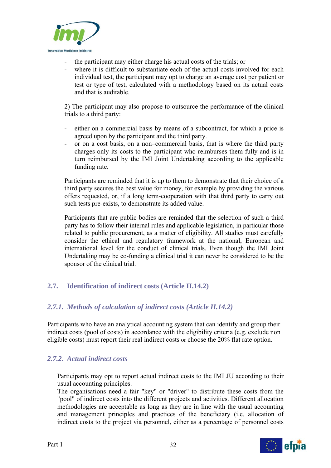

- the participant may either charge his actual costs of the trials; or
- where it is difficult to substantiate each of the actual costs involved for each individual test, the participant may opt to charge an average cost per patient or test or type of test, calculated with a methodology based on its actual costs and that is auditable.

2) The participant may also propose to outsource the performance of the clinical trials to a third party:

- either on a commercial basis by means of a subcontract, for which a price is agreed upon by the participant and the third party.
- or on a cost basis, on a non–commercial basis, that is where the third party charges only its costs to the participant who reimburses them fully and is in turn reimbursed by the IMI Joint Undertaking according to the applicable funding rate.

Participants are reminded that it is up to them to demonstrate that their choice of a third party secures the best value for money, for example by providing the various offers requested, or, if a long term-cooperation with that third party to carry out such tests pre-exists, to demonstrate its added value.

Participants that are public bodies are reminded that the selection of such a third party has to follow their internal rules and applicable legislation, in particular those related to public procurement, as a matter of eligibility. All studies must carefully consider the ethical and regulatory framework at the national, European and international level for the conduct of clinical trials. Even though the IMI Joint Undertaking may be co-funding a clinical trial it can never be considered to be the sponsor of the clinical trial.

# **2.7. Identification of indirect costs (Article II.14.2)**

# *2.7.1. Methods of calculation of indirect costs (Article II.14.2)*

Participants who have an analytical accounting system that can identify and group their indirect costs (pool of costs) in accordance with the eligibility criteria (e.g. exclude non eligible costs) must report their real indirect costs or choose the 20% flat rate option.

# *2.7.2. Actual indirect costs*

Participants may opt to report actual indirect costs to the IMI JU according to their usual accounting principles.

The organisations need a fair "key" or "driver" to distribute these costs from the "pool" of indirect costs into the different projects and activities. Different allocation methodologies are acceptable as long as they are in line with the usual accounting and management principles and practices of the beneficiary (i.e. allocation of indirect costs to the project via personnel, either as a percentage of personnel costs

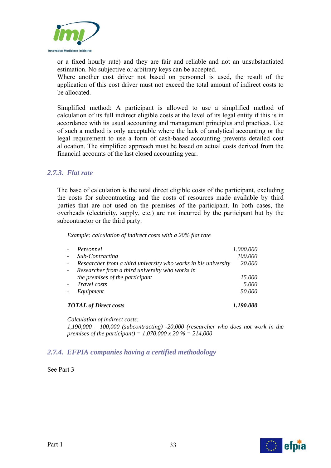

or a fixed hourly rate) and they are fair and reliable and not an unsubstantiated estimation. No subjective or arbitrary keys can be accepted.

Where another cost driver not based on personnel is used, the result of the application of this cost driver must not exceed the total amount of indirect costs to be allocated.

Simplified method: A participant is allowed to use a simplified method of calculation of its full indirect eligible costs at the level of its legal entity if this is in accordance with its usual accounting and management principles and practices. Use of such a method is only acceptable where the lack of analytical accounting or the legal requirement to use a form of cash-based accounting prevents detailed cost allocation. The simplified approach must be based on actual costs derived from the financial accounts of the last closed accounting year.

#### *2.7.3. Flat rate*

The base of calculation is the total direct eligible costs of the participant, excluding the costs for subcontracting and the costs of resources made available by third parties that are not used on the premises of the participant. In both cases, the overheads (electricity, supply, etc.) are not incurred by the participant but by the subcontractor or the third party.

*Example: calculation of indirect costs with a 20% flat rate* 

| $\sim$                                    | Personnel                                                      | 1.000.000 |  |
|-------------------------------------------|----------------------------------------------------------------|-----------|--|
| $\overline{\phantom{a}}$                  | Sub-Contracting                                                | 100.000   |  |
| $\blacksquare$                            | Researcher from a third university who works in his university | 20.000    |  |
| $\blacksquare$                            | Researcher from a third university who works in                |           |  |
|                                           | the premises of the participant                                | 15.000    |  |
| $\sim$                                    | Travel costs                                                   | 5.000     |  |
|                                           | Equipment                                                      | 50.000    |  |
| <b>TOTAL</b> of Direct costs<br>1.190.000 |                                                                |           |  |

*Calculation of indirect costs:* 

*1,190,000 – 100,000 (subcontracting) -20,000 (researcher who does not work in the premises of the participant) = 1,070,000 x 20 % = 214,000* 

# *2.7.4. EFPIA companies having a certified methodology*

See Part 3

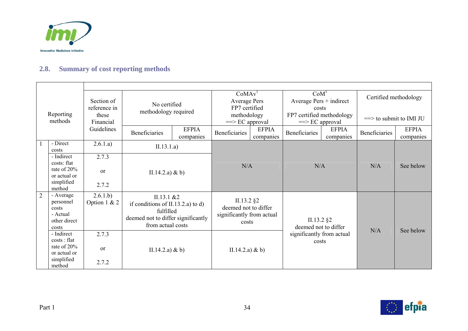

# **2.8. Summary of cost reporting methods**

| Reporting<br>methods |                                                                      | Section of<br>reference in<br>these | No certified<br>methodology required |                                                                                                                           | CoMAv <sup>1</sup><br><b>Average Pers</b><br>FP7 certified<br>methodology |                                                                            | CoM <sup>1</sup><br>Average $Pers + indirect$<br>costs<br>FP7 certified methodology |                                    | Certified methodology<br>$\equiv$ to submit to IMI JU |                           |
|----------------------|----------------------------------------------------------------------|-------------------------------------|--------------------------------------|---------------------------------------------------------------------------------------------------------------------------|---------------------------------------------------------------------------|----------------------------------------------------------------------------|-------------------------------------------------------------------------------------|------------------------------------|-------------------------------------------------------|---------------------------|
|                      |                                                                      | Financial<br>Guidelines             | <b>Beneficiaries</b>                 | <b>EFPIA</b><br>companies                                                                                                 | $\equiv$ $\ge$ EC approval<br>Beneficiaries                               | <b>EFPIA</b><br>companies                                                  | $\equiv$ EC approval<br><b>Beneficiaries</b>                                        | <b>EFPIA</b><br>companies          | Beneficiaries                                         | <b>EFPIA</b><br>companies |
|                      | - Direct<br>costs                                                    | 2.6.1.a)                            | II.13.1.a)                           |                                                                                                                           |                                                                           |                                                                            |                                                                                     |                                    |                                                       |                           |
|                      | - Indirect<br>costs: flat                                            | 2.7.3                               | II.14.2.a) & b)                      |                                                                                                                           | N/A                                                                       |                                                                            | N/A                                                                                 |                                    | N/A                                                   | See below                 |
|                      | rate of 20%<br>or actual or                                          | $\alpha$                            |                                      |                                                                                                                           |                                                                           |                                                                            |                                                                                     |                                    |                                                       |                           |
|                      | simplified<br>method                                                 | 2.7.2                               |                                      |                                                                                                                           |                                                                           |                                                                            |                                                                                     |                                    |                                                       |                           |
| 2                    | - Average<br>personnel<br>costs<br>- Actual<br>other direct<br>costs | 2.6.1.b)<br>Option $1 & 2$          |                                      | II.13.1 & 22<br>if conditions of II.13.2.a) to d)<br>fulfilled<br>deemed not to differ significantly<br>from actual costs |                                                                           | $II.13.2$ §2<br>deemed not to differ<br>significantly from actual<br>costs | $II.13.2$ §2<br>deemed not to differ                                                |                                    | N/A                                                   | See below                 |
|                      | - Indirect<br>costs: flat<br>rate of 20%                             | 2.7.3                               | II.14.2.a) & b)                      |                                                                                                                           |                                                                           | II.14.2.a) & b)                                                            |                                                                                     | significantly from actual<br>costs |                                                       |                           |
|                      | or actual or<br>simplified                                           | <sub>or</sub>                       |                                      |                                                                                                                           |                                                                           |                                                                            |                                                                                     |                                    |                                                       |                           |
|                      | method                                                               | 2.7.2                               |                                      |                                                                                                                           |                                                                           |                                                                            |                                                                                     |                                    |                                                       |                           |

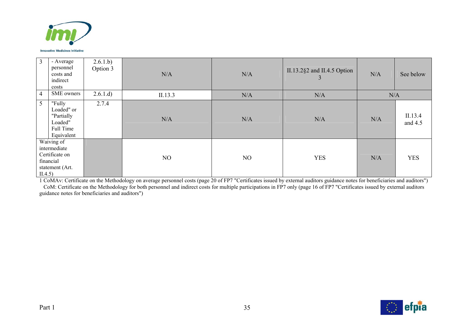

| $\mathfrak{Z}$                                                                          | - Average<br>personnel<br>costs and<br>indirect<br>costs                 | 2.6.1.b)<br>Option 3 | N/A     | N/A | II.13.2 $\S$ 2 and II.4.5 Option<br>3 | N/A | See below          |
|-----------------------------------------------------------------------------------------|--------------------------------------------------------------------------|----------------------|---------|-----|---------------------------------------|-----|--------------------|
| $\overline{4}$                                                                          | SME owners                                                               | 2.6.1.d)             | II.13.3 | N/A | N/A                                   | N/A |                    |
| 5 <sup>5</sup>                                                                          | "Fully<br>Loaded" or<br>"Partially<br>Loaded"<br>Full Time<br>Equivalent | 2.7.4                | N/A     | N/A | N/A                                   | N/A | II.13.4<br>and 4.5 |
| Waiving of<br>intermediate<br>Certificate on<br>financial<br>statement (Art.<br>II.4.5) |                                                                          |                      | NO      | NO  | <b>YES</b>                            | N/A | <b>YES</b>         |

1 CoMAv: Certificate on the Methodology on average personnel costs (page 20 of FP7 "Certificates issued by external auditors guidance notes for beneficiaries and auditors") CoM: Certificate on the Methodology for both personnel and indirect costs for multiple participations in FP7 only (page 16 of FP7 "Certificates issued by external auditors guidance notes for beneficiaries and auditors")

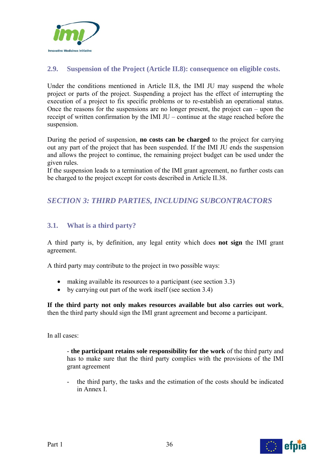

# **2.9. Suspension of the Project (Article II.8): consequence on eligible costs.**

Under the conditions mentioned in Article II.8, the IMI JU may suspend the whole project or parts of the project. Suspending a project has the effect of interrupting the execution of a project to fix specific problems or to re-establish an operational status. Once the reasons for the suspensions are no longer present, the project can – upon the receipt of written confirmation by the IMI JU – continue at the stage reached before the suspension.

During the period of suspension, **no costs can be charged** to the project for carrying out any part of the project that has been suspended. If the IMI JU ends the suspension and allows the project to continue, the remaining project budget can be used under the given rules.

If the suspension leads to a termination of the IMI grant agreement, no further costs can be charged to the project except for costs described in Article II.38.

# *SECTION 3: THIRD PARTIES, INCLUDING SUBCONTRACTORS*

# **3.1. What is a third party?**

A third party is, by definition, any legal entity which does **not sign** the IMI grant agreement.

A third party may contribute to the project in two possible ways:

- making available its resources to a participant (see section 3.3)
- by carrying out part of the work itself (see section 3.4)

**If the third party not only makes resources available but also carries out work**, then the third party should sign the IMI grant agreement and become a participant.

In all cases:

- **the participant retains sole responsibility for the work** of the third party and has to make sure that the third party complies with the provisions of the IMI grant agreement

- the third party, the tasks and the estimation of the costs should be indicated in Annex I.

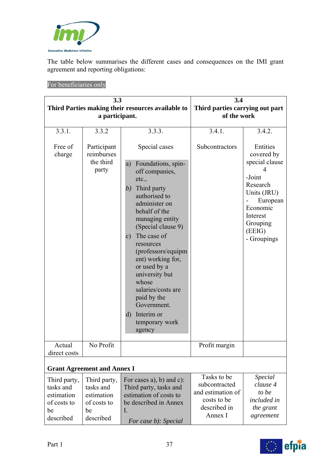

The table below summarises the different cases and consequences on the IMI grant agreement and reporting obligations:

For beneficiaries only

|                                                                           | 3.3                                                                       | 3.4                                                                                                                                                                                                                                                                                                                                                                                                                                 |                                                                                             |                                                                                                                                                        |
|---------------------------------------------------------------------------|---------------------------------------------------------------------------|-------------------------------------------------------------------------------------------------------------------------------------------------------------------------------------------------------------------------------------------------------------------------------------------------------------------------------------------------------------------------------------------------------------------------------------|---------------------------------------------------------------------------------------------|--------------------------------------------------------------------------------------------------------------------------------------------------------|
| Third Parties making their resources available to<br>a participant.       |                                                                           |                                                                                                                                                                                                                                                                                                                                                                                                                                     | Third parties carrying out part<br>of the work                                              |                                                                                                                                                        |
| 3.3.1.                                                                    | 3.3.2                                                                     | 3.3.3.                                                                                                                                                                                                                                                                                                                                                                                                                              | 3.4.1.                                                                                      | 3.4.2.                                                                                                                                                 |
| Free of<br>charge                                                         | Participant<br>reimburses<br>the third<br>party                           | Special cases<br>Foundations, spin-<br>a)<br>off companies,<br>etc.,<br>Third party<br>(b)<br>authorised to<br>administer on<br>behalf of the<br>managing entity<br>(Special clause 9)<br>The case of<br>$\mathbf{c})$<br>resources<br>(professors/equipm<br>ent) working for,<br>or used by a<br>university but<br>whose<br>salaries/costs are<br>paid by the<br>Government.<br>Interim or<br>$\rm d)$<br>temporary work<br>agency | Subcontractors                                                                              | Entities<br>covered by<br>special clause<br>-Joint<br>Research<br>Units (JRU)<br>European<br>Economic<br>Interest<br>Grouping<br>(EEIG)<br>- Groupings |
| Actual<br>direct costs                                                    | No Profit                                                                 |                                                                                                                                                                                                                                                                                                                                                                                                                                     | Profit margin                                                                               |                                                                                                                                                        |
|                                                                           | <b>Grant Agreement and Annex I</b>                                        |                                                                                                                                                                                                                                                                                                                                                                                                                                     |                                                                                             |                                                                                                                                                        |
| Third party,<br>tasks and<br>estimation<br>of costs to<br>be<br>described | Third party,<br>tasks and<br>estimation<br>of costs to<br>be<br>described | For cases a), b) and c):<br>Third party, tasks and<br>estimation of costs to<br>be described in Annex<br>I.<br>For case b): Special                                                                                                                                                                                                                                                                                                 | Tasks to be<br>subcontracted<br>and estimation of<br>costs to be<br>described in<br>Annex I | Special<br>clause 4<br>to be<br>included in<br>the grant<br>agreement                                                                                  |

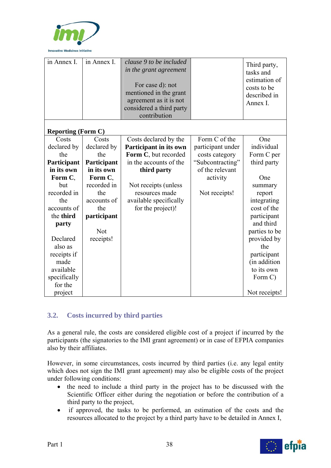

| in Annex I.               | in Annex I. | clause 9 to be included<br>in the grant agreement<br>For case d): not<br>mentioned in the grant<br>agreement as it is not<br>considered a third party<br>contribution |                   | Third party,<br>tasks and<br>estimation of<br>costs to be<br>described in<br>Annex I. |
|---------------------------|-------------|-----------------------------------------------------------------------------------------------------------------------------------------------------------------------|-------------------|---------------------------------------------------------------------------------------|
| <b>Reporting (Form C)</b> |             |                                                                                                                                                                       |                   |                                                                                       |
| Costs                     | Costs       | Costs declared by the                                                                                                                                                 | Form C of the     | One                                                                                   |
| declared by               | declared by | Participant in its own                                                                                                                                                | participant under | individual                                                                            |
| the                       | the         | Form C, but recorded                                                                                                                                                  | costs category    | Form C per                                                                            |
| Participant               | Participant | in the accounts of the                                                                                                                                                | "Subcontracting"  | third party                                                                           |
| in its own                | in its own  | third party                                                                                                                                                           | of the relevant   |                                                                                       |
| Form C,                   | Form C,     |                                                                                                                                                                       | activity          | One                                                                                   |
| but                       | recorded in | Not receipts (unless                                                                                                                                                  |                   | summary                                                                               |
| recorded in               | the         | resources made                                                                                                                                                        | Not receipts!     | report                                                                                |
| the                       | accounts of | available specifically                                                                                                                                                |                   | integrating                                                                           |
| accounts of               | the         | for the project)!                                                                                                                                                     |                   | cost of the                                                                           |
| the third                 | participant |                                                                                                                                                                       |                   | participant                                                                           |
| party                     |             |                                                                                                                                                                       |                   | and third                                                                             |
|                           | <b>Not</b>  |                                                                                                                                                                       |                   | parties to be                                                                         |
| Declared                  | receipts!   |                                                                                                                                                                       |                   | provided by                                                                           |
| also as                   |             |                                                                                                                                                                       |                   | the                                                                                   |
| receipts if               |             |                                                                                                                                                                       |                   | participant                                                                           |
| made                      |             |                                                                                                                                                                       |                   | (in addition                                                                          |
| available                 |             |                                                                                                                                                                       |                   | to its own                                                                            |
| specifically              |             |                                                                                                                                                                       |                   | Form C)                                                                               |
| for the                   |             |                                                                                                                                                                       |                   |                                                                                       |
| project                   |             |                                                                                                                                                                       |                   | Not receipts!                                                                         |

## **3.2. Costs incurred by third parties**

As a general rule, the costs are considered eligible cost of a project if incurred by the participants (the signatories to the IMI grant agreement) or in case of EFPIA companies also by their affiliates.

However, in some circumstances, costs incurred by third parties (i.e. any legal entity which does not sign the IMI grant agreement) may also be eligible costs of the project under following conditions:

- the need to include a third party in the project has to be discussed with the Scientific Officer either during the negotiation or before the contribution of a third party to the project,
- if approved, the tasks to be performed, an estimation of the costs and the resources allocated to the project by a third party have to be detailed in Annex I,



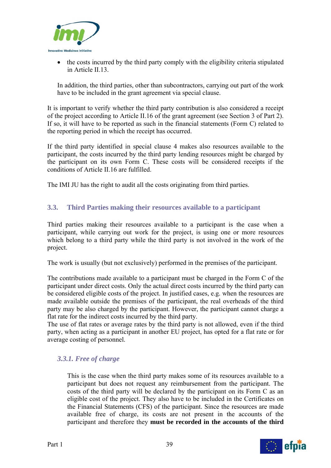

• the costs incurred by the third party comply with the eligibility criteria stipulated in Article II.13.

In addition, the third parties, other than subcontractors, carrying out part of the work have to be included in the grant agreement via special clause.

It is important to verify whether the third party contribution is also considered a receipt of the project according to Article II.16 of the grant agreement (see Section 3 of Part 2). If so, it will have to be reported as such in the financial statements (Form C) related to the reporting period in which the receipt has occurred.

If the third party identified in special clause 4 makes also resources available to the participant, the costs incurred by the third party lending resources might be charged by the participant on its own Form C. These costs will be considered receipts if the conditions of Article II.16 are fulfilled.

The IMI JU has the right to audit all the costs originating from third parties.

### **3.3. Third Parties making their resources available to a participant**

Third parties making their resources available to a participant is the case when a participant, while carrying out work for the project, is using one or more resources which belong to a third party while the third party is not involved in the work of the project.

The work is usually (but not exclusively) performed in the premises of the participant.

The contributions made available to a participant must be charged in the Form C of the participant under direct costs. Only the actual direct costs incurred by the third party can be considered eligible costs of the project. In justified cases, e.g. when the resources are made available outside the premises of the participant, the real overheads of the third party may be also charged by the participant. However, the participant cannot charge a flat rate for the indirect costs incurred by the third party.

The use of flat rates or average rates by the third party is not allowed, even if the third party, when acting as a participant in another EU project, has opted for a flat rate or for average costing of personnel.

### *3.3.1. Free of charge*

This is the case when the third party makes some of its resources available to a participant but does not request any reimbursement from the participant. The costs of the third party will be declared by the participant on its Form C as an eligible cost of the project. They also have to be included in the Certificates on the Financial Statements (CFS) of the participant. Since the resources are made available free of charge, its costs are not present in the accounts of the participant and therefore they **must be recorded in the accounts of the third** 

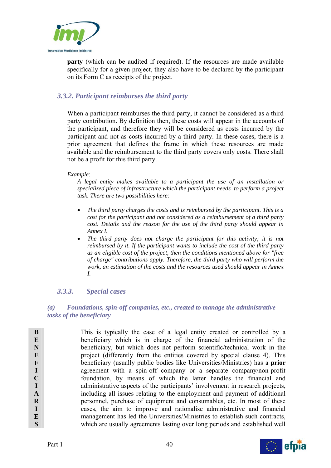

**party** (which can be audited if required). If the resources are made available specifically for a given project, they also have to be declared by the participant on its Form C as receipts of the project.

## *3.3.2. Participant reimburses the third party*

When a participant reimburses the third party, it cannot be considered as a third party contribution. By definition then, these costs will appear in the accounts of the participant, and therefore they will be considered as costs incurred by the participant and not as costs incurred by a third party. In these cases, there is a prior agreement that defines the frame in which these resources are made available and the reimbursement to the third party covers only costs. There shall not be a profit for this third party.

#### *Example:*

*A legal entity makes available to a participant the use of an installation or specialized piece of infrastructure which the participant needs to perform a project task. There are two possibilities here:* 

- *The third party charges the costs and is reimbursed by the participant. This is a cost for the participant and not considered as a reimbursement of a third party cost. Details and the reason for the use of the third party should appear in Annex I.*
- The third party does not charge the participant for this activity; it is not *reimbursed by it. If the participant wants to include the cost of the third party as an eligible cost of the project, then the conditions mentioned above for "free of charge" contributions apply. Therefore, the third party who will perform the work, an estimation of the costs and the resources used should appear in Annex I.*

## *3.3.3. Special cases*

### *(a) Foundations, spin-off companies, etc., created to manage the administrative tasks of the beneficiary*

**B E N E F I C I A R I E S**  This is typically the case of a legal entity created or controlled by a beneficiary which is in charge of the financial administration of the beneficiary, but which does not perform scientific/technical work in the project (differently from the entities covered by special clause 4). This beneficiary (usually public bodies like Universities/Ministries) has a **prior** agreement with a spin-off company or a separate company/non-profit foundation, by means of which the latter handles the financial and administrative aspects of the participants' involvement in research projects, including all issues relating to the employment and payment of additional personnel, purchase of equipment and consumables, etc. In most of these cases, the aim to improve and rationalise administrative and financial management has led the Universities/Ministries to establish such contracts, which are usually agreements lasting over long periods and established well

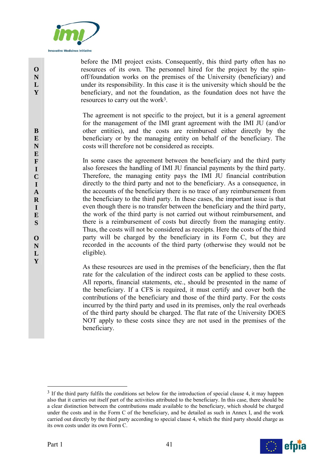

before the IMI project exists. Consequently, this third party often has no resources of its own. The personnel hired for the project by the spinoff/foundation works on the premises of the University (beneficiary) and under its responsibility. In this case it is the university which should be the beneficiary, and not the foundation, as the foundation does not have the resources to carry out the work3.

The agreement is not specific to the project, but it is a general agreement for the management of the IMI grant agreement with the IMI JU (and/or other entities), and the costs are reimbursed either directly by the beneficiary or by the managing entity on behalf of the beneficiary. The costs will therefore not be considered as receipts.

In some cases the agreement between the beneficiary and the third party also foresees the handling of IMI JU financial payments by the third party. Therefore, the managing entity pays the IMI JU financial contribution directly to the third party and not to the beneficiary. As a consequence, in the accounts of the beneficiary there is no trace of any reimbursement from the beneficiary to the third party. In these cases, the important issue is that even though there is no transfer between the beneficiary and the third party, the work of the third party is not carried out without reimbursement, and there is a reimbursement of costs but directly from the managing entity. Thus, the costs will not be considered as receipts. Here the costs of the third party will be charged by the beneficiary in its Form C, but they are recorded in the accounts of the third party (otherwise they would not be eligible).

As these resources are used in the premises of the beneficiary, then the flat rate for the calculation of the indirect costs can be applied to these costs. All reports, financial statements, etc., should be presented in the name of the beneficiary. If a CFS is required, it must certify and cover both the contributions of the beneficiary and those of the third party. For the costs incurred by the third party and used in its premises, only the real overheads of the third party should be charged. The flat rate of the University DOES NOT apply to these costs since they are not used in the premises of the beneficiary.

<sup>&</sup>lt;sup>3</sup> If the third party fulfils the conditions set below for the introduction of special clause 4, it may happen also that it carries out itself part of the activities attributed to the beneficiary. In this case, there should be a clear distinction between the contributions made available to the beneficiary, which should be charged under the costs and in the Form C of the beneficiary, and be detailed as such in Annex I, and the work carried out directly by the third party according to special clause 4, which the third party should charge as its own costs under its own Form C.



**Y**

**O N L Y** 

1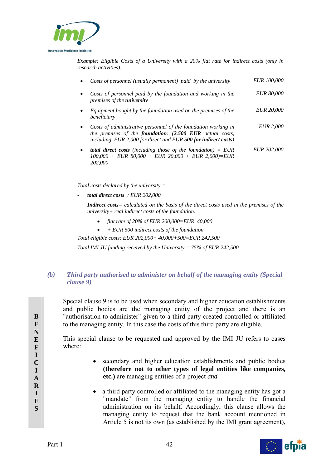

*Example: Eligible Costs of a University with a 20% flat rate for indirect costs (only in research activities):* 

| $\bullet$ | Costs of personnel (usually permanent) paid by the university                                                                                                                                | <i>EUR 100,000</i> |
|-----------|----------------------------------------------------------------------------------------------------------------------------------------------------------------------------------------------|--------------------|
| $\bullet$ | Costs of personnel paid by the foundation and working in the<br>premises of the <b>university</b>                                                                                            | <i>EUR 80,000</i>  |
|           | Equipment bought by the foundation used on the premises of the<br>beneficiary                                                                                                                | <i>EUR 20,000</i>  |
| $\bullet$ | Costs of administrative personnel of the foundation working in<br>the premises of the foundation: (2.500 EUR actual costs,<br>including EUR 2,000 for direct and EUR 500 for indirect costs) | <i>EUR 2,000</i>   |
| $\bullet$ | <b>total direct costs</b> (including those of the foundation) $=$ EUR<br>$100.000 + EUR$ 80.000 + EUR 20.000 + EUR 2.000 = EUR                                                               | <i>EUR 202.000</i> |

*Total costs declared by the university =* 

- *total direct costs : EUR 202,000* 

*202,000* 

- Indirect costs<sup>*= calculated on the basis of the direct costs used in the premises of the*</sup> *university+ real indirect costs of the foundation:* 
	- *flat rate of 20% of EUR 200,000=EUR 40,000*
	- *+ EUR 500 indirect costs of the foundation*

*Total eligible costs: EUR 202,000+ 40,000+500=EUR 242,500* 

*Total IMI JU funding received by the University = 75% of EUR 242,500.* 

### *(b) Third party authorised to administer on behalf of the managing entity (Special clause 9)*

 Special clause 9 is to be used when secondary and higher education establishments and public bodies are the managing entity of the project and there is an "authorisation to administer" given to a third party created controlled or affiliated to the managing entity. In this case the costs of this third party are eligible.

This special clause to be requested and approved by the IMI JU refers to cases where:

- secondary and higher education establishments and public bodies **(therefore not to other types of legal entities like companies, etc.)** are managing entities of a project *and*
- a third party controlled or affiliated to the managing entity has got a "mandate" from the managing entity to handle the financial administration on its behalf. Accordingly, this clause allows the managing entity to request that the bank account mentioned in Article 5 is not its own (as established by the IMI grant agreement),



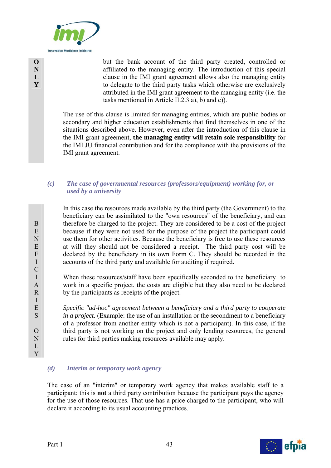

but the bank account of the third party created, controlled or affiliated to the managing entity. The introduction of this special clause in the IMI grant agreement allows also the managing entity to delegate to the third party tasks which otherwise are exclusively attributed in the IMI grant agreement to the managing entity (i.e. the tasks mentioned in Article II.2.3 a), b) and c)).

The use of this clause is limited for managing entities, which are public bodies or secondary and higher education establishments that find themselves in one of the situations described above. However, even after the introduction of this clause in the IMI grant agreement, **the managing entity will retain sole responsibility** for the IMI JU financial contribution and for the compliance with the provisions of the IMI grant agreement.

### *(c) The case of governmental resources (professors/equipment) working for, or used by a university*

 In this case the resources made available by the third party (the Government) to the beneficiary can be assimilated to the "own resources" of the beneficiary, and can therefore be charged to the project. They are considered to be a cost of the project because if they were not used for the purpose of the project the participant could use them for other activities. Because the beneficiary is free to use these resources at will they should not be considered a receipt. The third party cost will be declared by the beneficiary in its own Form C. They should be recorded in the accounts of the third party and available for auditing if required.

When these resources/staff have been specifically seconded to the beneficiary to work in a specific project, the costs are eligible but they also need to be declared by the participants as receipts of the project.

*Specific "ad-hoc" agreement between a beneficiary and a third party to cooperate in a project*. (Example: the use of an installation or the secondment to a beneficiary of a professor from another entity which is not a participant). In this case, if the third party is not working on the project and only lending resources, the general rules for third parties making resources available may apply.

### *(d) Interim or temporary work agency*

The case of an "interim" or temporary work agency that makes available staff to a participant: this is **not** a third party contribution because the participant pays the agency for the use of those resources. That use has a price charged to the participant, who will declare it according to its usual accounting practices.



B E N E F I C I A R I E S

 $\Omega$ N  $L$ Y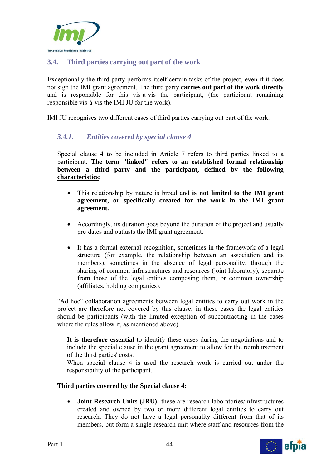

## **3.4. Third parties carrying out part of the work**

Exceptionally the third party performs itself certain tasks of the project, even if it does not sign the IMI grant agreement. The third party **carries out part of the work directly** and is responsible for this vis-à-vis the participant, (the participant remaining responsible vis-à-vis the IMI JU for the work).

IMI JU recognises two different cases of third parties carrying out part of the work:

## *3.4.1. Entities covered by special clause 4*

Special clause 4 to be included in Article 7 refers to third parties linked to a participant. **The term "linked" refers to an established formal relationship between a third party and the participant, defined by the following characteristics:** 

- This relationship by nature is broad and **is not limited to the IMI grant agreement, or specifically created for the work in the IMI grant agreement.**
- Accordingly, its duration goes beyond the duration of the project and usually pre-dates and outlasts the IMI grant agreement.
- It has a formal external recognition, sometimes in the framework of a legal structure (for example, the relationship between an association and its members), sometimes in the absence of legal personality, through the sharing of common infrastructures and resources (joint laboratory), separate from those of the legal entities composing them, or common ownership (affiliates, holding companies).

"Ad hoc" collaboration agreements between legal entities to carry out work in the project are therefore not covered by this clause; in these cases the legal entities should be participants (with the limited exception of subcontracting in the cases where the rules allow it, as mentioned above).

**It is therefore essential** to identify these cases during the negotiations and to include the special clause in the grant agreement to allow for the reimbursement of the third parties' costs.

When special clause 4 is used the research work is carried out under the responsibility of the participant.

### **Third parties covered by the Special clause 4:**

 **Joint Research Units (JRU):** these are research laboratories/infrastructures created and owned by two or more different legal entities to carry out research. They do not have a legal personality different from that of its members, but form a single research unit where staff and resources from the

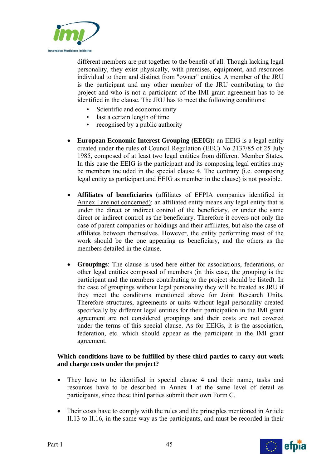

different members are put together to the benefit of all. Though lacking legal personality, they exist physically, with premises, equipment, and resources individual to them and distinct from "owner" entities. A member of the JRU is the participant and any other member of the JRU contributing to the project and who is not a participant of the IMI grant agreement has to be identified in the clause. The JRU has to meet the following conditions:

- Scientific and economic unity
- last a certain length of time
- recognised by a public authority
- **European Economic Interest Grouping (EEIG):** an EEIG is a legal entity created under the rules of Council Regulation (EEC) No 2137/85 of 25 July 1985, composed of at least two legal entities from different Member States. In this case the EEIG is the participant and its composing legal entities may be members included in the special clause 4. The contrary (i.e. composing legal entity as participant and EEIG as member in the clause) is not possible.
- **Affiliates of beneficiaries** (affiliates of EFPIA companies identified in Annex I are not concerned): an affiliated entity means any legal entity that is under the direct or indirect control of the beneficiary, or under the same direct or indirect control as the beneficiary. Therefore it covers not only the case of parent companies or holdings and their affiliates, but also the case of affiliates between themselves. However, the entity performing most of the work should be the one appearing as beneficiary, and the others as the members detailed in the clause.
- **Groupings**: The clause is used here either for associations, federations, or other legal entities composed of members (in this case, the grouping is the participant and the members contributing to the project should be listed). In the case of groupings without legal personality they will be treated as JRU if they meet the conditions mentioned above for Joint Research Units. Therefore structures, agreements or units without legal personality created specifically by different legal entities for their participation in the IMI grant agreement are not considered groupings and their costs are not covered under the terms of this special clause. As for EEIGs, it is the association, federation, etc. which should appear as the participant in the IMI grant agreement.

### **Which conditions have to be fulfilled by these third parties to carry out work and charge costs under the project?**

- They have to be identified in special clause 4 and their name, tasks and resources have to be described in Annex I at the same level of detail as participants, since these third parties submit their own Form C.
- Their costs have to comply with the rules and the principles mentioned in Article II.13 to II.16, in the same way as the participants, and must be recorded in their

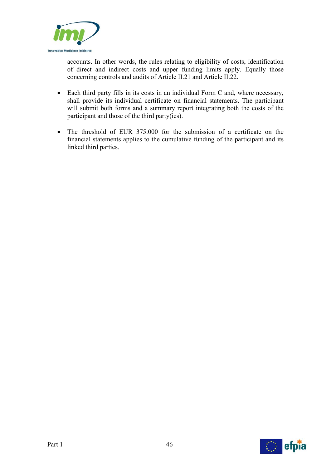

accounts. In other words, the rules relating to eligibility of costs, identification of direct and indirect costs and upper funding limits apply. Equally those concerning controls and audits of Article II.21 and Article II.22.

- Each third party fills in its costs in an individual Form C and, where necessary, shall provide its individual certificate on financial statements. The participant will submit both forms and a summary report integrating both the costs of the participant and those of the third party(ies).
- The threshold of EUR 375,000 for the submission of a certificate on the financial statements applies to the cumulative funding of the participant and its linked third parties.

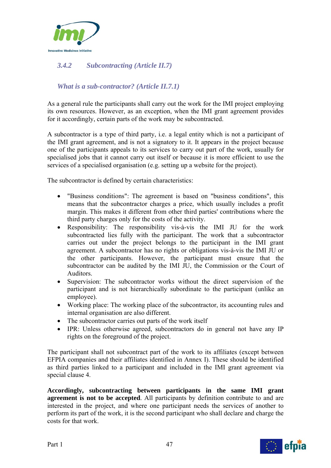

## *3.4.2 Subcontracting (Article II.7)*

## *What is a sub-contractor? (Article II.7.1)*

As a general rule the participants shall carry out the work for the IMI project employing its own resources. However, as an exception, when the IMI grant agreement provides for it accordingly, certain parts of the work may be subcontracted.

A subcontractor is a type of third party, i.e. a legal entity which is not a participant of the IMI grant agreement, and is not a signatory to it. It appears in the project because one of the participants appeals to its services to carry out part of the work, usually for specialised jobs that it cannot carry out itself or because it is more efficient to use the services of a specialised organisation (e.g. setting up a website for the project).

The subcontractor is defined by certain characteristics:

- "Business conditions": The agreement is based on "business conditions", this means that the subcontractor charges a price, which usually includes a profit margin. This makes it different from other third parties' contributions where the third party charges only for the costs of the activity.
- Responsibility: The responsibility vis-à-vis the IMI JU for the work subcontracted lies fully with the participant. The work that a subcontractor carries out under the project belongs to the participant in the IMI grant agreement. A subcontractor has no rights or obligations vis-à-vis the IMI JU or the other participants. However, the participant must ensure that the subcontractor can be audited by the IMI JU, the Commission or the Court of Auditors.
- Supervision: The subcontractor works without the direct supervision of the participant and is not hierarchically subordinate to the participant (unlike an employee).
- Working place: The working place of the subcontractor, its accounting rules and internal organisation are also different.
- The subcontractor carries out parts of the work itself
- IPR: Unless otherwise agreed, subcontractors do in general not have any IP rights on the foreground of the project.

The participant shall not subcontract part of the work to its affiliates (except between EFPIA companies and their affiliates identified in Annex I). These should be identified as third parties linked to a participant and included in the IMI grant agreement via special clause 4.

**Accordingly, subcontracting between participants in the same IMI grant agreement is not to be accepted**. All participants by definition contribute to and are interested in the project, and where one participant needs the services of another to perform its part of the work, it is the second participant who shall declare and charge the costs for that work.

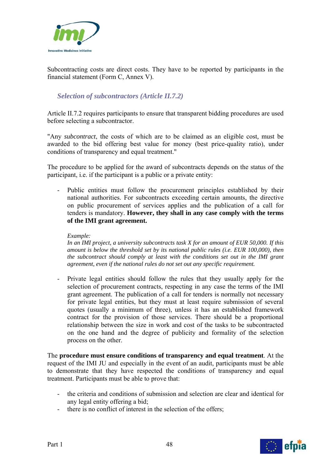

Subcontracting costs are direct costs. They have to be reported by participants in the financial statement (Form C, Annex V).

## *Selection of subcontractors (Article II.7.2)*

Article II.7.2 requires participants to ensure that transparent bidding procedures are used before selecting a subcontractor.

"Any *subcontract*, the costs of which are to be claimed as an eligible cost*,* must be awarded to the bid offering best value for money (best price-quality ratio), under conditions of transparency and equal treatment."

The procedure to be applied for the award of subcontracts depends on the status of the participant, i.e. if the participant is a public or a private entity:

Public entities must follow the procurement principles established by their national authorities. For subcontracts exceeding certain amounts, the directive on public procurement of services applies and the publication of a call for tenders is mandatory. **However, they shall in any case comply with the terms of the IMI grant agreement.** 

#### *Example:*

*In an IMI project, a university subcontracts task X for an amount of EUR 50,000. If this amount is below the threshold set by its national public rules (i.e. EUR 100,000), then the subcontract should comply at least with the conditions set out in the IMI grant agreement, even if the national rules do not set out any specific requirement.* 

Private legal entities should follow the rules that they usually apply for the selection of procurement contracts, respecting in any case the terms of the IMI grant agreement. The publication of a call for tenders is normally not necessary for private legal entities, but they must at least require submission of several quotes (usually a minimum of three), unless it has an established framework contract for the provision of those services. There should be a proportional relationship between the size in work and cost of the tasks to be subcontracted on the one hand and the degree of publicity and formality of the selection process on the other.

The **procedure must ensure conditions of transparency and equal treatment**. At the request of the IMI JU and especially in the event of an audit, participants must be able to demonstrate that they have respected the conditions of transparency and equal treatment. Participants must be able to prove that:

- the criteria and conditions of submission and selection are clear and identical for any legal entity offering a bid;
- there is no conflict of interest in the selection of the offers;



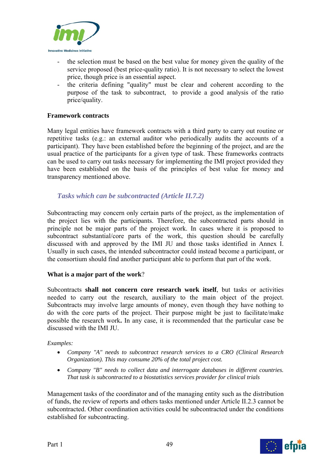

- the selection must be based on the best value for money given the quality of the service proposed (best price-quality ratio). It is not necessary to select the lowest price, though price is an essential aspect.
- the criteria defining "quality" must be clear and coherent according to the purpose of the task to subcontract, to provide a good analysis of the ratio price/quality.

### **Framework contracts**

Many legal entities have framework contracts with a third party to carry out routine or repetitive tasks (e.g.: an external auditor who periodically audits the accounts of a participant). They have been established before the beginning of the project, and are the usual practice of the participants for a given type of task. These frameworks contracts can be used to carry out tasks necessary for implementing the IMI project provided they have been established on the basis of the principles of best value for money and transparency mentioned above.

## *Tasks which can be subcontracted (Article II.7.2)*

Subcontracting may concern only certain parts of the project, as the implementation of the project lies with the participants. Therefore, the subcontracted parts should in principle not be major parts of the project work. In cases where it is proposed to subcontract substantial/core parts of the work, this question should be carefully discussed with and approved by the IMI JU and those tasks identified in Annex I. Usually in such cases, the intended subcontractor could instead become a participant, or the consortium should find another participant able to perform that part of the work.

### **What is a major part of the work**?

Subcontracts **shall not concern core research work itself**, but tasks or activities needed to carry out the research, auxiliary to the main object of the project. Subcontracts may involve large amounts of money, even though they have nothing to do with the core parts of the project. Their purpose might be just to facilitate/make possible the research work**.** In any case, it is recommended that the particular case be discussed with the IMI JU.

### *Examples:*

- *Company "A" needs to subcontract research services to a CRO (Clinical Research Organization). This may consume 20% of the total project cost.*
- *Company "B" needs to collect data and interrogate databases in different countries. That task is subcontracted to a biostatistics services provider for clinical trials*

Management tasks of the coordinator and of the managing entity such as the distribution of funds, the review of reports and others tasks mentioned under Article II.2.3 cannot be subcontracted. Other coordination activities could be subcontracted under the conditions established for subcontracting.

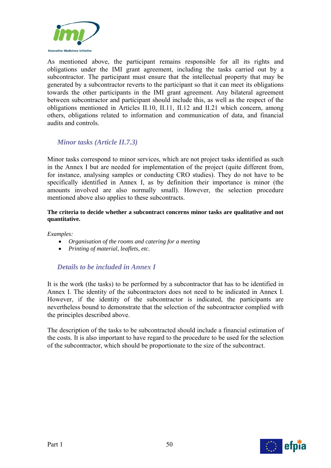

As mentioned above, the participant remains responsible for all its rights and obligations under the IMI grant agreement, including the tasks carried out by a subcontractor. The participant must ensure that the intellectual property that may be generated by a subcontractor reverts to the participant so that it can meet its obligations towards the other participants in the IMI grant agreement. Any bilateral agreement between subcontractor and participant should include this, as well as the respect of the obligations mentioned in Articles II.10, II.11, II.12 and II.21 which concern, among others, obligations related to information and communication of data, and financial audits and controls.

## *Minor tasks (Article II.7.3)*

Minor tasks correspond to minor services, which are not project tasks identified as such in the Annex I but are needed for implementation of the project (quite different from, for instance, analysing samples or conducting CRO studies). They do not have to be specifically identified in Annex I, as by definition their importance is minor (the amounts involved are also normally small). However, the selection procedure mentioned above also applies to these subcontracts.

#### **The criteria to decide whether a subcontract concerns minor tasks are qualitative and not quantitative.**

*Examples:* 

- *Organisation of the rooms and catering for a meeting*
- *Printing of material, leaflets, etc.*

## *Details to be included in Annex I*

It is the work (the tasks) to be performed by a subcontractor that has to be identified in Annex I. The identity of the subcontractors does not need to be indicated in Annex I. However, if the identity of the subcontractor is indicated, the participants are nevertheless bound to demonstrate that the selection of the subcontractor complied with the principles described above.

The description of the tasks to be subcontracted should include a financial estimation of the costs. It is also important to have regard to the procedure to be used for the selection of the subcontractor, which should be proportionate to the size of the subcontract.

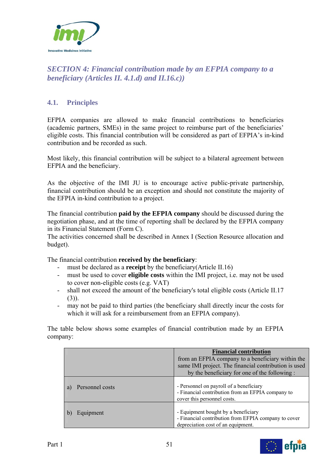

## *SECTION 4: Financial contribution made by an EFPIA company to a beneficiary (Articles II. 4.1.d) and II.16.c))*

## **4.1. Principles**

EFPIA companies are allowed to make financial contributions to beneficiaries (academic partners, SMEs) in the same project to reimburse part of the beneficiaries' eligible costs. This financial contribution will be considered as part of EFPIA's in-kind contribution and be recorded as such.

Most likely, this financial contribution will be subject to a bilateral agreement between EFPIA and the beneficiary.

As the objective of the IMI JU is to encourage active public-private partnership, financial contribution should be an exception and should not constitute the majority of the EFPIA in-kind contribution to a project.

The financial contribution **paid by the EFPIA company** should be discussed during the negotiation phase, and at the time of reporting shall be declared by the EFPIA company in its Financial Statement (Form C).

The activities concerned shall be described in Annex I (Section Resource allocation and budget).

The financial contribution **received by the beneficiary**:

- must be declared as a **receipt** by the beneficiary(Article II.16)
- must be used to cover **eligible costs** within the IMI project, i.e. may not be used to cover non-eligible costs (e.g. VAT)
- shall not exceed the amount of the beneficiary's total eligible costs (Article II.17  $(3)$ ).
- may not be paid to third parties (the beneficiary shall directly incur the costs for which it will ask for a reimbursement from an EFPIA company).

The table below shows some examples of financial contribution made by an EFPIA company:

|                       | <b>Financial contribution</b><br>from an EFPIA company to a beneficiary within the<br>same IMI project. The financial contribution is used<br>by the beneficiary for one of the following : |
|-----------------------|---------------------------------------------------------------------------------------------------------------------------------------------------------------------------------------------|
| Personnel costs<br>a) | - Personnel on payroll of a beneficiary<br>- Financial contribution from an EFPIA company to<br>cover this personnel costs.                                                                 |
| Equipment<br>b)       | - Equipment bought by a beneficiary<br>- Financial contribution from EFPIA company to cover<br>depreciation cost of an equipment.                                                           |

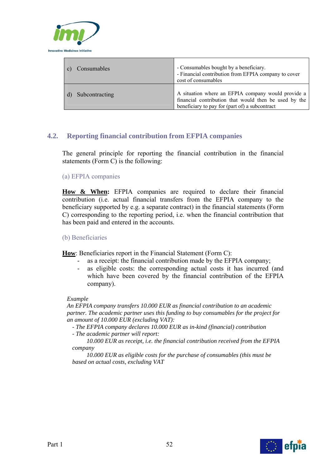

| Consumables    | - Consumables bought by a beneficiary.<br>- Financial contribution from EFPIA company to cover<br>cost of consumables                                         |
|----------------|---------------------------------------------------------------------------------------------------------------------------------------------------------------|
| Subcontracting | A situation where an EFPIA company would provide a<br>financial contribution that would then be used by the<br>beneficiary to pay for (part of) a subcontract |

## **4.2. Reporting financial contribution from EFPIA companies**

The general principle for reporting the financial contribution in the financial statements (Form C) is the following:

### (a) EFPIA companies

**How & When:** EFPIA companies are required to declare their financial contribution (i.e. actual financial transfers from the EFPIA company to the beneficiary supported by e.g. a separate contract) in the financial statements (Form C) corresponding to the reporting period, i.e. when the financial contribution that has been paid and entered in the accounts.

#### (b) Beneficiaries

**How**: Beneficiaries report in the Financial Statement (Form C):

- as a receipt: the financial contribution made by the EFPIA company;
- as eligible costs: the corresponding actual costs it has incurred (and which have been covered by the financial contribution of the EFPIA company).

#### *Example*

*An EFPIA company transfers 10.000 EUR as financial contribution to an academic partner. The academic partner uses this funding to buy consumables for the project for an amount of 10.000 EUR (excluding VAT):* 

*- The EFPIA company declares 10.000 EUR as in-kind (financial) contribution - The academic partner will report:* 

*10.000 EUR as receipt, i.e. the financial contribution received from the EFPIA company* 

*10.000 EUR as eligible costs for the purchase of consumables (this must be based on actual costs, excluding VAT* 

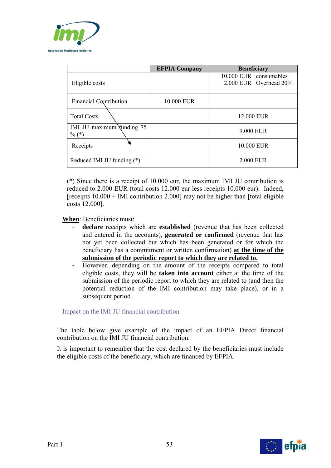

|                                       | <b>EFPIA Company</b> | <b>Beneficiary</b>                               |
|---------------------------------------|----------------------|--------------------------------------------------|
| Eligible costs                        |                      | 10.000 EUR consumables<br>2.000 EUR Overhead 20% |
| <b>Financial Contribution</b>         | 10.000 EUR           |                                                  |
| <b>Total Costs</b>                    |                      | 12.000 EUR                                       |
| IMI JU maximum funding 75<br>$\%$ (*) |                      | 9.000 EUR                                        |
| Receipts                              |                      | 10.000 EUR                                       |
| Reduced IMI JU funding $(*)$          |                      | 2.000 EUR                                        |

(\*) Since there is a receipt of 10.000 eur, the maximum IMI JU contribution is reduced to 2.000 EUR (total costs 12.000 eur less receipts 10.000 eur). Indeed, [receipts  $10.000 +$  IMI contribution 2.000] may not be higher than [total eligible costs 12.000].

**When**: Beneficiaries must:

- declare receipts which are established (revenue that has been collected and entered in the accounts), **generated or confirmed** (revenue that has not yet been collected but which has been generated or for which the beneficiary has a commitment or written confirmation) **at the time of the submission of the periodic report to which they are related to.**
- However, depending on the amount of the receipts compared to total eligible costs, they will be **taken into account** either at the time of the submission of the periodic report to which they are related to (and then the potential reduction of the IMI contribution may take place), or in a subsequent period.

Impact on the IMI JU financial contribution

The table below give example of the impact of an EFPIA Direct financial contribution on the IMI JU financial contribution.

It is important to remember that the cost declared by the beneficiaries must include the eligible costs of the beneficiary, which are financed by EFPIA.

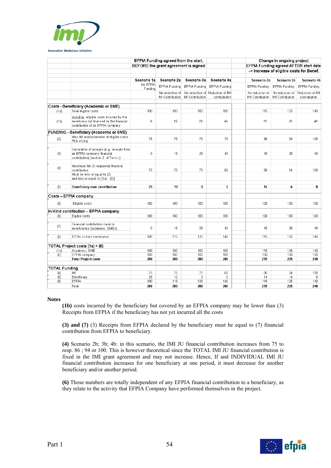

|                      |                                                                                                                           |                     | EFPIA Funding agreed from the start, |                         |                      |                  | Change in ongoing project                 |                                       |
|----------------------|---------------------------------------------------------------------------------------------------------------------------|---------------------|--------------------------------------|-------------------------|----------------------|------------------|-------------------------------------------|---------------------------------------|
|                      |                                                                                                                           |                     | BEFORE the grant agreement is signed |                         |                      |                  |                                           | EFPIA Funding agreed AFTER start date |
|                      |                                                                                                                           |                     |                                      |                         |                      |                  | --> increase of eligible costs for Benef. |                                       |
|                      |                                                                                                                           |                     |                                      |                         |                      |                  |                                           |                                       |
|                      |                                                                                                                           | Scenario 1a         | Scenario 2a                          | Scenario 3a             | Scenario 4a          | Scenario 2b      | Scenario 3b                               | Scenario 4b                           |
|                      |                                                                                                                           | No EFPIA<br>Funding | EFPIA Funding                        | EFPIA Funding           | EFPIA Funding        | EFPIA Funding    | EFPIA Funding                             | EFPIA Funding                         |
|                      |                                                                                                                           |                     | No reduction of                      | No reduction of         | Reduction of IMI     | No reduction of  | No reduction of                           | Reduction of IMI                      |
|                      |                                                                                                                           |                     | IMI Contribution                     | <b>IMI Contribution</b> | contrubution         | IMI Contribution | <b>IMI Contribution</b>                   | contrubution                          |
|                      | Costs - Beneficiary (Academic or SME)                                                                                     |                     |                                      |                         |                      |                  |                                           |                                       |
| (1a)                 | Total eligible costs:                                                                                                     | 100                 | 100                                  | 100                     | 100                  | 115              | 125                                       | 140                                   |
|                      |                                                                                                                           |                     |                                      |                         |                      |                  |                                           |                                       |
| (1b)                 | including eligible costs incurred by the<br>beneficiary but financed by the financial<br>contribution of an EFPIA company | 0                   | 15                                   | 25                      | 40                   | 15               | 25                                        | 40                                    |
|                      | <b>FUNDING - Beneficiary (Academic or SME)</b>                                                                            |                     |                                      |                         |                      |                  |                                           |                                       |
| (2)                  | Max IMI reimbursement of eligible costs<br>75% of (1a)                                                                    | 75                  | 75                                   | 75                      | 75                   | 86               | 94                                        | 105                                   |
| (3)                  | Declaration of receipts (e.g. receipts from<br>an EFPIA company financial<br>contribution) (section 2 of Form c)          | $\mathbb O$         | 15                                   | 25                      | 40                   | 15               | 25                                        | 40                                    |
| (4)                  | Maximum IMI JU requested financial<br>contribution                                                                        | 75                  | 75                                   | 75                      | 60                   | 86               | 94                                        | 100                                   |
|                      | Must be less or equal to (2)<br>and less or equal to $[(1a) - (3)]$                                                       |                     |                                      |                         |                      |                  |                                           |                                       |
| (5)                  | Beneficiary own contribution                                                                                              | 25                  | 10                                   | $\bf{0}$                | 0                    | 14               | 6                                         | 0                                     |
|                      | Costs - EFPIA company                                                                                                     |                     |                                      |                         |                      |                  |                                           |                                       |
| (6)                  | Eligible costs                                                                                                            | 100                 | 100                                  | 100                     | 100                  | 100              | 100                                       | 100                                   |
|                      |                                                                                                                           |                     |                                      |                         |                      |                  |                                           |                                       |
|                      | In Kind contribution - EFPIA company                                                                                      |                     |                                      |                         |                      |                  |                                           |                                       |
| (6)                  | Eigible costs                                                                                                             | 100                 | 100                                  | 100                     | 100                  | 100              | 100                                       | 100                                   |
| (7)                  | Financial contribution made to<br>beneficiaries (academic, SMEs)                                                          | $\mathbf 0$         | 15                                   | 25                      | 40                   | 15               | 25                                        | 40                                    |
| (8)                  | TOTAL in kind contribution                                                                                                | 100                 | 115                                  | 125                     | 140                  | 115              | 125                                       | 140                                   |
|                      | TOTAL Project costs (1a) + (6)                                                                                            |                     |                                      |                         |                      |                  |                                           |                                       |
| (1a)                 | Academic, SME                                                                                                             | 100                 | 100                                  | 100                     | 100                  | 115              | 125                                       | 140                                   |
| (6)                  | EFPIA company                                                                                                             | 100                 | 100                                  | 100                     | 100                  | 100              | 100                                       | 100                                   |
|                      | <b>Total Project costs</b>                                                                                                | 200                 | 200                                  | 200                     | 200                  | 215              | 225                                       | 240                                   |
|                      |                                                                                                                           |                     |                                      |                         |                      |                  |                                           |                                       |
| <b>TOTAL Funding</b> |                                                                                                                           |                     |                                      |                         |                      |                  |                                           |                                       |
| (4)<br>(5)           | IMI<br>Beneficiary                                                                                                        | 75<br>25            | 75<br>10                             | 75<br>$\overline{0}$    | 60<br>$\overline{0}$ | 86<br>14         | 94<br>6                                   | 100<br>$\mathbf 0$                    |
| (8)                  | EFPIA                                                                                                                     | 100                 | 115                                  | 125                     | 140                  | 115              | 125                                       | 140                                   |
|                      | Total                                                                                                                     | 200                 | 200                                  | 200                     | 200                  | 215              | 225                                       | 240                                   |

**Notes** 

**(1b)** costs incurred by the beneficiary but covered by an EFPIA company may be lower than (3) Receipts from EFPIA if the beneficiary has not yet incurred all the costs

**(3) and (7)** (3) Receipts from EFPIA declared by the beneficiary must be equal to (7) financial contribution from EFPIA to beneficiary.

**(4)** Scenario 2b; 3b; 4b: in this scenario, the IMI JU financial contribution increases from 75 to resp. 86 ; 94 or 100. This is however theoretical since the TOTAL IMI JU financial contribution is fixed in the IMI grant agreement and may not increase. Hence, If and INDIVIDUAL IMI JU financial contribution increases for one beneficiary at one period, it must decrease for another beneficiary and/or another period.

**(6)** Those numbers are totally independent of any EFPIA financial contribution to a beneficiary, as they relate to the activity that EFPIA Company have performed themselves in the project.

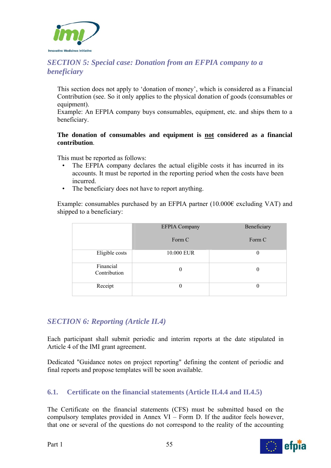

## *SECTION 5: Special case: Donation from an EFPIA company to a beneficiary*

This section does not apply to 'donation of money', which is considered as a Financial Contribution (see. So it only applies to the physical donation of goods (consumables or equipment).

Example: An EFPIA company buys consumables, equipment, etc. and ships them to a beneficiary.

### **The donation of consumables and equipment is not considered as a financial contribution**.

This must be reported as follows:

- The EFPIA company declares the actual eligible costs it has incurred in its accounts. It must be reported in the reporting period when the costs have been incurred.
- The beneficiary does not have to report anything.

Example: consumables purchased by an EFPIA partner  $(10.000\epsilon$  excluding VAT) and shipped to a beneficiary:

|                           | <b>EFPIA Company</b> | Beneficiary |
|---------------------------|----------------------|-------------|
|                           | Form C               | Form C      |
| Eligible costs            | 10.000 EUR           |             |
| Financial<br>Contribution | 0                    | $\theta$    |
| Receipt                   | 0                    | 0           |

## *SECTION 6: Reporting (Article II.4)*

Each participant shall submit periodic and interim reports at the date stipulated in Article 4 of the IMI grant agreement.

Dedicated "Guidance notes on project reporting" defining the content of periodic and final reports and propose templates will be soon available.

## **6.1. Certificate on the financial statements (Article II.4.4 and II.4.5)**

The Certificate on the financial statements (CFS) must be submitted based on the compulsory templates provided in Annex VI – Form D. If the auditor feels however, that one or several of the questions do not correspond to the reality of the accounting

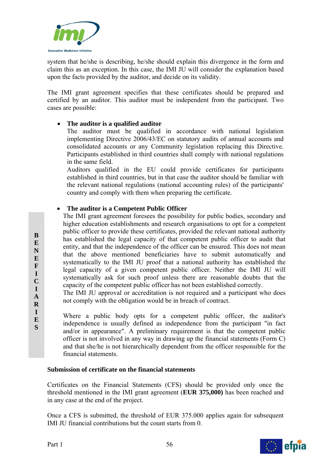

system that he/she is describing, he/she should explain this divergence in the form and claim this as an exception. In this case, the IMI JU will consider the explanation based upon the facts provided by the auditor, and decide on its validity.

The IMI grant agreement specifies that these certificates should be prepared and certified by an auditor. This auditor must be independent from the participant. Two cases are possible:

## **The auditor is a qualified auditor**

The auditor must be qualified in accordance with national legislation implementing Directive 2006/43/EC on statutory audits of annual accounts and consolidated accounts or any Community legislation replacing this Directive. Participants established in third countries shall comply with national regulations in the same field.

Auditors qualified in the EU could provide certificates for participants established in third countries, but in that case the auditor should be familiar with the relevant national regulations (national accounting rules) of the participants' country and comply with them when preparing the certificate.

## **The auditor is a Competent Public Officer**

 The IMI grant agreement foresees the possibility for public bodies, secondary and higher education establishments and research organisations to opt for a competent public officer to provide these certificates, provided the relevant national authority has established the legal capacity of that competent public officer to audit that entity, and that the independence of the officer can be ensured. This does not mean that the above mentioned beneficiaries have to submit automatically and systematically to the IMI JU proof that a national authority has established the legal capacity of a given competent public officer. Neither the IMI JU will systematically ask for such proof unless there are reasonable doubts that the capacity of the competent public officer has not been established correctly.

- The IMI JU approval or accreditation is not required and a participant who does not comply with the obligation would be in breach of contract.
	- Where a public body opts for a competent public officer, the auditor's independence is usually defined as independence from the participant "in fact and/or in appearance". A preliminary requirement is that the competent public officer is not involved in any way in drawing up the financial statements (Form C) and that she/he is not hierarchically dependent from the officer responsible for the financial statements.

### **Submission of certificate on the financial statements**

Certificates on the Financial Statements (CFS) should be provided only once the threshold mentioned in the IMI grant agreement (**EUR 375,000)** has been reached and in any case at the end of the project.

Once a CFS is submitted, the threshold of EUR 375.000 applies again for subsequent IMI JU financial contributions but the count starts from 0.



**B E N E F I C I A R I E S**

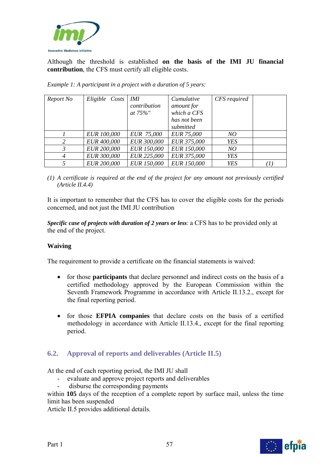

Although the threshold is established **on the basis of the IMI JU financial contribution**, the CFS must certify all eligible costs.

| Report No      | Eligible Costs     | <i>IMI</i><br>contribution<br>at $75\%$ " | Cumulative<br>amount for<br>which a CFS<br>has not been | CFS required |  |
|----------------|--------------------|-------------------------------------------|---------------------------------------------------------|--------------|--|
|                |                    |                                           | submitted                                               |              |  |
|                | <b>EUR 100,000</b> | EUR 75,000                                | <b>EUR 75,000</b>                                       | NO           |  |
| 2              | EUR 400,000        | EUR 300,000                               | EUR 375,000                                             | <b>YES</b>   |  |
| 3              | <b>EUR 200,000</b> | EUR 150,000                               | <b>EUR 150,000</b>                                      | NO           |  |
| $\overline{4}$ | EUR 300,000        | EUR 225,000                               | EUR 375,000                                             | <b>YES</b>   |  |
|                | <b>EUR 200,000</b> | EUR 150,000                               | EUR 150,000                                             | <b>YES</b>   |  |

*Example 1: A participant in a project with a duration of 5 years:* 

*(1) A certificate is required at the end of the project for any amount not previously certified (Article II.4.4)* 

It is important to remember that the CFS has to cover the eligible costs for the periods concerned, and not just the IMI JU contribution

*Specific case of projects with duration of 2 years or less*: a CFS has to be provided only at the end of the project.

### **Waiving**

The requirement to provide a certificate on the financial statements is waived:

- for those **participants** that declare personnel and indirect costs on the basis of a certified methodology approved by the European Commission within the Seventh Framework Programme in accordance with Article II.13.2., except for the final reporting period.
- for those **EFPIA companies** that declare costs on the basis of a certified methodology in accordance with Article II.13.4., except for the final reporting period.

## **6.2. Approval of reports and deliverables (Article II.5)**

At the end of each reporting period, the IMI JU shall

- evaluate and approve project reports and deliverables
- disburse the corresponding payments

within **105** days of the reception of a complete report by surface mail, unless the time limit has been suspended

Article II.5 provides additional details.



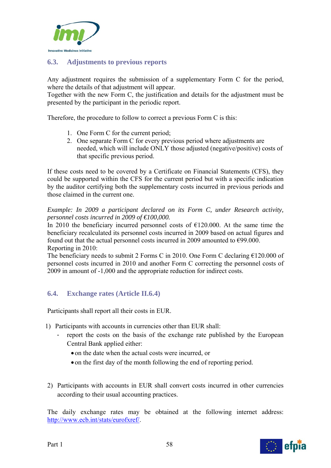

## **6.3. Adjustments to previous reports**

Any adjustment requires the submission of a supplementary Form C for the period, where the details of that adjustment will appear.

Together with the new Form C, the justification and details for the adjustment must be presented by the participant in the periodic report.

Therefore, the procedure to follow to correct a previous Form C is this:

- 1. One Form C for the current period;
- 2. One separate Form C for every previous period where adjustments are needed, which will include ONLY those adjusted (negative/positive) costs of that specific previous period.

If these costs need to be covered by a Certificate on Financial Statements (CFS), they could be supported within the CFS for the current period but with a specific indication by the auditor certifying both the supplementary costs incurred in previous periods and those claimed in the current one.

*Example: In 2009 a participant declared on its Form C, under Research activity, personnel costs incurred in 2009 of €100,000.* 

In 2010 the beneficiary incurred personnel costs of  $\epsilon$ 120.000. At the same time the beneficiary recalculated its personnel costs incurred in 2009 based on actual figures and found out that the actual personnel costs incurred in 2009 amounted to  $\epsilon$ 99.000. Reporting in 2010:

The beneficiary needs to submit 2 Forms C in 2010. One Form C declaring  $£120.000$  of personnel costs incurred in 2010 and another Form C correcting the personnel costs of 2009 in amount of -1,000 and the appropriate reduction for indirect costs.

## **6.4. Exchange rates (Article II.6.4)**

Participants shall report all their costs in EUR.

- 1) Participants with accounts in currencies other than EUR shall:
	- report the costs on the basis of the exchange rate published by the European Central Bank applied either:
		- on the date when the actual costs were incurred, or
		- on the first day of the month following the end of reporting period.
- 2) Participants with accounts in EUR shall convert costs incurred in other currencies according to their usual accounting practices.

The daily exchange rates may be obtained at the following internet address: http://www.ecb.int/stats/eurofxref/.

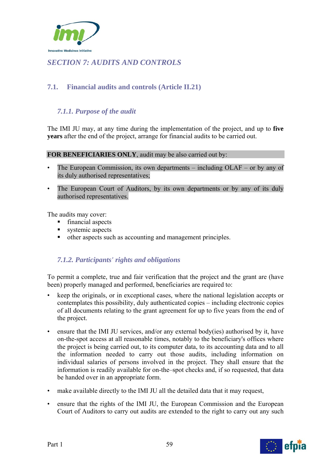

# *SECTION 7: AUDITS AND CONTROLS*

## **7.1. Financial audits and controls (Article II.21)**

## *7.1.1. Purpose of the audit*

The IMI JU may, at any time during the implementation of the project, and up to **five years** after the end of the project, arrange for financial audits to be carried out.

#### **FOR BENEFICIARIES ONLY**, audit may be also carried out by:

- The European Commission, its own departments  $-$  including OLAF  $-$  or by any of its duly authorised representatives;
- The European Court of Auditors, by its own departments or by any of its duly authorised representatives.

The audits may cover:

- **financial aspects**
- systemic aspects
- other aspects such as accounting and management principles.

## *7.1.2. Participants' rights and obligations*

To permit a complete, true and fair verification that the project and the grant are (have been) properly managed and performed, beneficiaries are required to:

- keep the originals, or in exceptional cases, where the national legislation accepts or contemplates this possibility, duly authenticated copies – including electronic copies of all documents relating to the grant agreement for up to five years from the end of the project.
- ensure that the IMI JU services, and/or any external body(ies) authorised by it, have on-the-spot access at all reasonable times, notably to the beneficiary's offices where the project is being carried out, to its computer data, to its accounting data and to all the information needed to carry out those audits, including information on individual salaries of persons involved in the project. They shall ensure that the information is readily available for on-the–spot checks and, if so requested, that data be handed over in an appropriate form.
- make available directly to the IMI JU all the detailed data that it may request,
- ensure that the rights of the IMI JU, the European Commission and the European Court of Auditors to carry out audits are extended to the right to carry out any such

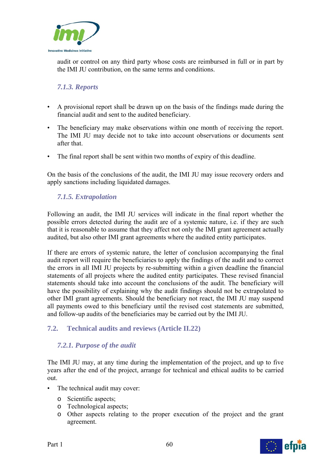

audit or control on any third party whose costs are reimbursed in full or in part by the IMI JU contribution, on the same terms and conditions.

## *7.1.3. Reports*

- A provisional report shall be drawn up on the basis of the findings made during the financial audit and sent to the audited beneficiary.
- The beneficiary may make observations within one month of receiving the report. The IMI JU may decide not to take into account observations or documents sent after that.
- The final report shall be sent within two months of expiry of this deadline.

On the basis of the conclusions of the audit, the IMI JU may issue recovery orders and apply sanctions including liquidated damages.

## *7.1.5. Extrapolation*

Following an audit, the IMI JU services will indicate in the final report whether the possible errors detected during the audit are of a systemic nature, i.e. if they are such that it is reasonable to assume that they affect not only the IMI grant agreement actually audited, but also other IMI grant agreements where the audited entity participates.

If there are errors of systemic nature, the letter of conclusion accompanying the final audit report will require the beneficiaries to apply the findings of the audit and to correct the errors in all IMI JU projects by re-submitting within a given deadline the financial statements of all projects where the audited entity participates. These revised financial statements should take into account the conclusions of the audit. The beneficiary will have the possibility of explaining why the audit findings should not be extrapolated to other IMI grant agreements. Should the beneficiary not react, the IMI JU may suspend all payments owed to this beneficiary until the revised cost statements are submitted, and follow-up audits of the beneficiaries may be carried out by the IMI JU.

## **7.2. Technical audits and reviews (Article II.22)**

## *7.2.1. Purpose of the audit*

The IMI JU may, at any time during the implementation of the project, and up to five years after the end of the project, arrange for technical and ethical audits to be carried out.

- The technical audit may cover:
	- o Scientific aspects;
	- o Technological aspects;
	- o Other aspects relating to the proper execution of the project and the grant agreement.



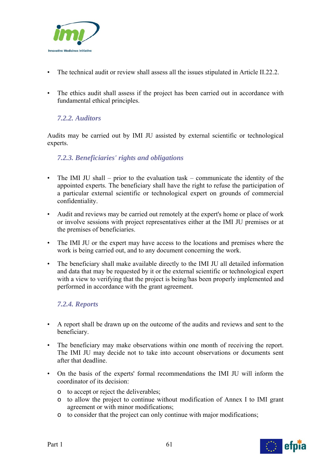

- The technical audit or review shall assess all the issues stipulated in Article II.22.2.
- The ethics audit shall assess if the project has been carried out in accordance with fundamental ethical principles.

## *7.2.2. Auditors*

Audits may be carried out by IMI JU assisted by external scientific or technological experts.

## *7.2.3. Beneficiaries' rights and obligations*

- The IMI JU shall prior to the evaluation task communicate the identity of the appointed experts. The beneficiary shall have the right to refuse the participation of a particular external scientific or technological expert on grounds of commercial confidentiality.
- Audit and reviews may be carried out remotely at the expert's home or place of work or involve sessions with project representatives either at the IMI JU premises or at the premises of beneficiaries.
- The IMI JU or the expert may have access to the locations and premises where the work is being carried out, and to any document concerning the work.
- The beneficiary shall make available directly to the IMI JU all detailed information and data that may be requested by it or the external scientific or technological expert with a view to verifying that the project is being/has been properly implemented and performed in accordance with the grant agreement.

## *7.2.4. Reports*

- A report shall be drawn up on the outcome of the audits and reviews and sent to the beneficiary.
- The beneficiary may make observations within one month of receiving the report. The IMI JU may decide not to take into account observations or documents sent after that deadline.
- On the basis of the experts' formal recommendations the IMI JU will inform the coordinator of its decision:
	- o to accept or reject the deliverables;
	- o to allow the project to continue without modification of Annex I to IMI grant agreement or with minor modifications;
	- o to consider that the project can only continue with major modifications;

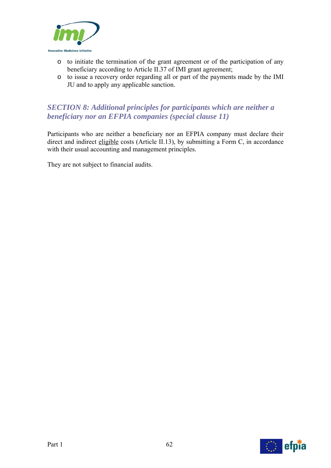

- o to initiate the termination of the grant agreement or of the participation of any beneficiary according to Article II.37 of IMI grant agreement;
- o to issue a recovery order regarding all or part of the payments made by the IMI JU and to apply any applicable sanction.

## *SECTION 8: Additional principles for participants which are neither a beneficiary nor an EFPIA companies (special clause 11)*

Participants who are neither a beneficiary nor an EFPIA company must declare their direct and indirect eligible costs (Article II.13), by submitting a Form C, in accordance with their usual accounting and management principles.

They are not subject to financial audits.

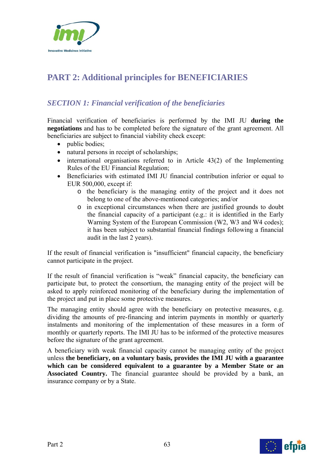

# **PART 2: Additional principles for BENEFICIARIES**

## *SECTION 1: Financial verification of the beneficiaries*

Financial verification of beneficiaries is performed by the IMI JU **during the negotiations** and has to be completed before the signature of the grant agreement. All beneficiaries are subject to financial viability check except:

- public bodies;
- natural persons in receipt of scholarships;
- $\bullet$  international organisations referred to in Article 43(2) of the Implementing Rules of the EU Financial Regulation;
- Beneficiaries with estimated IMI JU financial contribution inferior or equal to EUR 500,000, except if:
	- o the beneficiary is the managing entity of the project and it does not belong to one of the above-mentioned categories; and/or
	- o in exceptional circumstances when there are justified grounds to doubt the financial capacity of a participant (e.g.: it is identified in the Early Warning System of the European Commission (W2, W3 and W4 codes); it has been subject to substantial financial findings following a financial audit in the last 2 years).

If the result of financial verification is "insufficient" financial capacity, the beneficiary cannot participate in the project.

If the result of financial verification is "weak" financial capacity, the beneficiary can participate but, to protect the consortium, the managing entity of the project will be asked to apply reinforced monitoring of the beneficiary during the implementation of the project and put in place some protective measures.

The managing entity should agree with the beneficiary on protective measures, e.g. dividing the amounts of pre-financing and interim payments in monthly or quarterly instalments and monitoring of the implementation of these measures in a form of monthly or quarterly reports. The IMI JU has to be informed of the protective measures before the signature of the grant agreement.

A beneficiary with weak financial capacity cannot be managing entity of the project unless **the beneficiary, on a voluntary basis, provides the IMI JU with a guarantee which can be considered equivalent to a guarantee by a Member State or an Associated Country.** The financial guarantee should be provided by a bank, an insurance company or by a State.

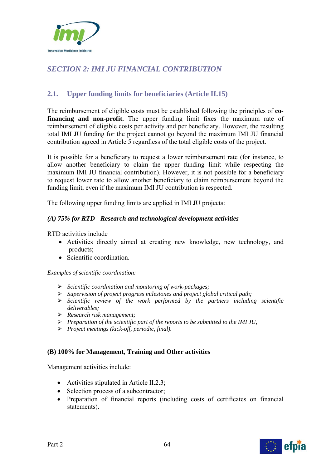

# *SECTION 2: IMI JU FINANCIAL CONTRIBUTION*

## **2.1. Upper funding limits for beneficiaries (Article II.15)**

The reimbursement of eligible costs must be established following the principles of **cofinancing and non-profit.** The upper funding limit fixes the maximum rate of reimbursement of eligible costs per activity and per beneficiary. However, the resulting total IMI JU funding for the project cannot go beyond the maximum IMI JU financial contribution agreed in Article 5 regardless of the total eligible costs of the project.

It is possible for a beneficiary to request a lower reimbursement rate (for instance, to allow another beneficiary to claim the upper funding limit while respecting the maximum IMI JU financial contribution). However, it is not possible for a beneficiary to request lower rate to allow another beneficiary to claim reimbursement beyond the funding limit, even if the maximum IMI JU contribution is respected.

The following upper funding limits are applied in IMI JU projects:

### *(A) 75% for RTD - Research and technological development activities*

RTD activities include

- Activities directly aimed at creating new knowledge, new technology, and products;
- Scientific coordination.

*Examples of scientific coordination:* 

- *Scientific coordination and monitoring of work-packages;*
- *Supervision of project progress milestones and project global critical path;*
- *Scientific review of the work performed by the partners including scientific deliverables;*
- *Research risk management;*
- *Preparation of the scientific part of the reports to be submitted to the IMI JU,*
- *Project meetings (kick-off, periodic, final).*

### **(B) 100% for Management, Training and Other activities**

Management activities include:

- Activities stipulated in Article II.2.3;
- Selection process of a subcontractor;
- Preparation of financial reports (including costs of certificates on financial statements).

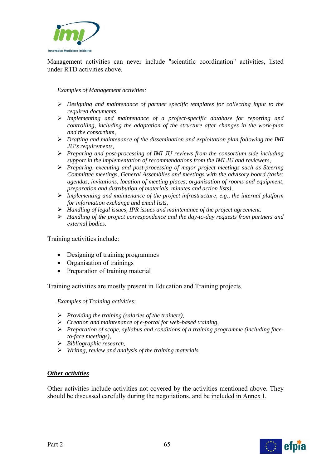

Management activities can never include "scientific coordination" activities, listed under RTD activities above.

*Examples of Management activities:* 

- *Designing and maintenance of partner specific templates for collecting input to the required documents,*
- *Implementing and maintenance of a project-specific database for reporting and controlling, including the adaptation of the structure after changes in the work-plan and the consortium,*
- *Drafting and maintenance of the dissemination and exploitation plan following the IMI JU's requirements,*
- *Preparing and post-processing of IMI JU reviews from the consortium side including support in the implementation of recommendations from the IMI JU and reviewers,*
- *Preparing, executing and post-processing of major project meetings such as Steering Committee meetings, General Assemblies and meetings with the advisory board (tasks: agendas, invitations, location of meeting places, organisation of rooms and equipment, preparation and distribution of materials, minutes and action lists),*
- *Implementing and maintenance of the project infrastructure, e.g., the internal platform for information exchange and email lists,*
- *Handling of legal issues, IPR issues and maintenance of the project agreement.*
- *Handling of the project correspondence and the day-to-day requests from partners and external bodies.*

Training activities include:

- Designing of training programmes
- Organisation of trainings
- Preparation of training material

Training activities are mostly present in Education and Training projects.

*Examples of Training activities:* 

- *Providing the training (salaries of the trainers),*
- *Creation and maintenance of e-portal for web-based training,*
- *Preparation of scope, syllabus and conditions of a training programme (including faceto-face meetings),*
- *Bibliographic research,*
- *Writing, review and analysis of the training materials.*

#### *Other activities*

Other activities include activities not covered by the activities mentioned above. They should be discussed carefully during the negotiations, and be included in Annex I.

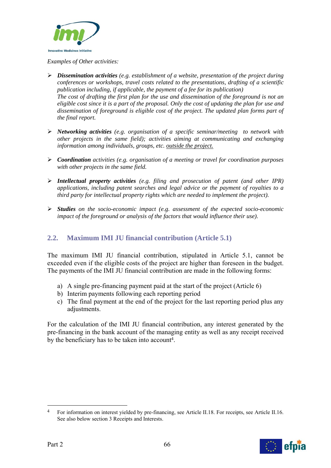

*Examples of Other activities:* 

- *Dissemination activities (e.g. establishment of a website, presentation of the project during conferences or workshops, travel costs related to the presentations, drafting of a scientific publication including, if applicable, the payment of a fee for its publication) The cost of drafting the first plan for the use and dissemination of the foreground is not an eligible cost since it is a part of the proposal. Only the cost of updating the plan for use and dissemination of foreground is eligible cost of the project. The updated plan forms part of the final report.*
- *Networking activities (e.g. organisation of a specific seminar/meeting to network with other projects in the same field); activities aiming at communicating and exchanging information among individuals, groups, etc. outside the project.*
- *Coordination activities (e.g. organisation of a meeting or travel for coordination purposes with other projects in the same field.*
- *Intellectual property activities (e.g. filing and prosecution of patent (and other IPR) applications, including patent searches and legal advice or the payment of royalties to a third party for intellectual property rights which are needed to implement the project).*
- *Studies on the socio-economic impact (e.g. assessment of the expected socio-economic impact of the foreground or analysis of the factors that would influence their use).*

## **2.2. Maximum IMI JU financial contribution (Article 5.1)**

The maximum IMI JU financial contribution, stipulated in Article 5.1, cannot be exceeded even if the eligible costs of the project are higher than foreseen in the budget. The payments of the IMI JU financial contribution are made in the following forms:

- a) A single pre-financing payment paid at the start of the project (Article 6)
- b) Interim payments following each reporting period
- c) The final payment at the end of the project for the last reporting period plus any adjustments.

For the calculation of the IMI JU financial contribution, any interest generated by the pre-financing in the bank account of the managing entity as well as any receipt received by the beneficiary has to be taken into account4.

<sup>4</sup> For information on interest yielded by pre-financing, see Article II.18. For receipts, see Article II.16. See also below section 3 Receipts and Interests.



1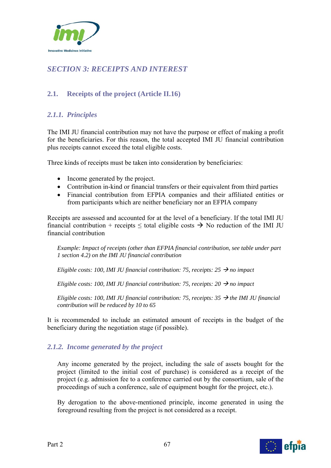

# *SECTION 3: RECEIPTS AND INTEREST*

## **2.1. Receipts of the project (Article II.16)**

## *2.1.1. Principles*

The IMI JU financial contribution may not have the purpose or effect of making a profit for the beneficiaries. For this reason, the total accepted IMI JU financial contribution plus receipts cannot exceed the total eligible costs.

Three kinds of receipts must be taken into consideration by beneficiaries:

- Income generated by the project.
- Contribution in-kind or financial transfers or their equivalent from third parties
- Financial contribution from EFPIA companies and their affiliated entities or from participants which are neither beneficiary nor an EFPIA company

Receipts are assessed and accounted for at the level of a beneficiary. If the total IMI JU financial contribution + receipts  $\leq$  total eligible costs  $\rightarrow$  No reduction of the IMI JU financial contribution

*Example: Impact of receipts (other than EFPIA financial contribution, see table under part 1 section 4.2) on the IMI JU financial contribution* 

*Eligible costs: 100, IMI JU financial contribution: 75, receipts:*  $25 \rightarrow no$  *impact* 

*Eligible costs: 100, IMI JU financial contribution: 75, receipts: 20*  $\rightarrow$  *no impact* 

*Eligible costs: 100, IMI JU financial contribution: 75, receipts: 35*  $\rightarrow$  *the IMI JU financial contribution will be reduced by 10 to 65* 

It is recommended to include an estimated amount of receipts in the budget of the beneficiary during the negotiation stage (if possible).

## *2.1.2. Income generated by the project*

 Any income generated by the project, including the sale of assets bought for the project (limited to the initial cost of purchase) is considered as a receipt of the project (e.g. admission fee to a conference carried out by the consortium, sale of the proceedings of such a conference, sale of equipment bought for the project, etc.).

By derogation to the above-mentioned principle, income generated in using the foreground resulting from the project is not considered as a receipt.

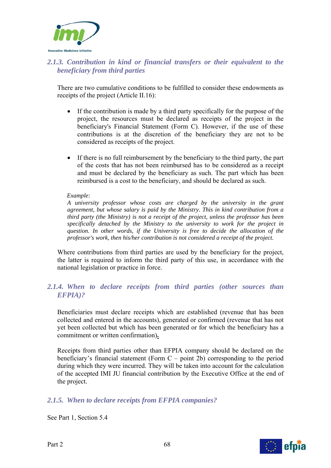

## *2.1.3. Contribution in kind or financial transfers or their equivalent to the beneficiary from third parties*

There are two cumulative conditions to be fulfilled to consider these endowments as receipts of the project (Article II.16):

- If the contribution is made by a third party specifically for the purpose of the project, the resources must be declared as receipts of the project in the beneficiary's Financial Statement (Form C). However, if the use of these contributions is at the discretion of the beneficiary they are not to be considered as receipts of the project.
- If there is no full reimbursement by the beneficiary to the third party, the part of the costs that has not been reimbursed has to be considered as a receipt and must be declared by the beneficiary as such. The part which has been reimbursed is a cost to the beneficiary, and should be declared as such.

#### *Example:*

*A university professor whose costs are charged by the university in the grant agreement, but whose salary is paid by the Ministry. This in kind contribution from a third party (the Ministry) is not a receipt of the project, unless the professor has been specifically detached by the Ministry to the university to work for the project in question. In other words, if the University is free to decide the allocation of the professor's work, then his/her contribution is not considered a receipt of the project.* 

Where contributions from third parties are used by the beneficiary for the project, the latter is required to inform the third party of this use, in accordance with the national legislation or practice in force.

## *2.1.4. When to declare receipts from third parties (other sources than EFPIA)?*

Beneficiaries must declare receipts which are established (revenue that has been collected and entered in the accounts), generated or confirmed (revenue that has not yet been collected but which has been generated or for which the beneficiary has a commitment or written confirmation)**.** 

Receipts from third parties other than EFPIA company should be declared on the beneficiary's financial statement (Form C – point 2b) corresponding to the period during which they were incurred. They will be taken into account for the calculation of the accepted IMI JU financial contribution by the Executive Office at the end of the project.

### *2.1.5. When to declare receipts from EFPIA companies?*

See Part 1, Section 5.4



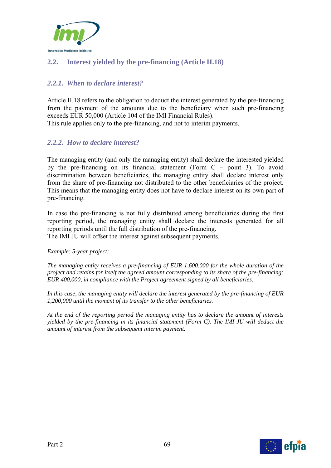

## **2.2. Interest yielded by the pre-financing (Article II.18)**

## *2.2.1. When to declare interest?*

Article II.18 refers to the obligation to deduct the interest generated by the pre-financing from the payment of the amounts due to the beneficiary when such pre-financing exceeds EUR 50,000 (Article 104 of the IMI Financial Rules).

This rule applies only to the pre-financing, and not to interim payments.

### *2.2.2. How to declare interest?*

The managing entity (and only the managing entity) shall declare the interested yielded by the pre-financing on its financial statement (Form C – point 3). To avoid discrimination between beneficiaries, the managing entity shall declare interest only from the share of pre-financing not distributed to the other beneficiaries of the project. This means that the managing entity does not have to declare interest on its own part of pre-financing.

In case the pre-financing is not fully distributed among beneficiaries during the first reporting period, the managing entity shall declare the interests generated for all reporting periods until the full distribution of the pre-financing. The IMI JU will offset the interest against subsequent payments.

*Example: 5-year project:* 

*The managing entity receives a pre-financing of EUR 1,600,000 for the whole duration of the project and retains for itself the agreed amount corresponding to its share of the pre-financing: EUR 400,000, in compliance with the Project agreement signed by all beneficiaries.* 

*In this case, the managing entity will declare the interest generated by the pre-financing of EUR 1,200,000 until the moment of its transfer to the other beneficiaries.* 

*At the end of the reporting period the managing entity has to declare the amount of interests yielded by the pre-financing in its financial statement (Form C). The IMI JU will deduct the amount of interest from the subsequent interim payment.* 

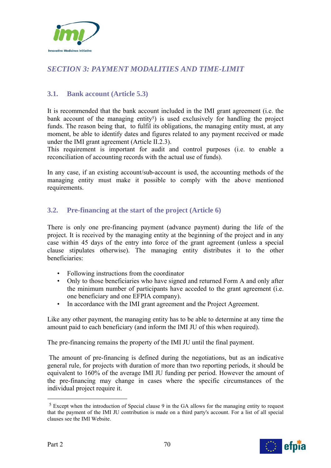

# *SECTION 3: PAYMENT MODALITIES AND TIME-LIMIT*

## **3.1. Bank account (Article 5.3)**

It is recommended that the bank account included in the IMI grant agreement (i.e. the bank account of the managing entity<sup>5</sup>) is used exclusively for handling the project funds. The reason being that, to fulfil its obligations, the managing entity must, at any moment, be able to identify dates and figures related to any payment received or made under the IMI grant agreement (Article II.2.3).

This requirement is important for audit and control purposes (i.e. to enable a reconciliation of accounting records with the actual use of funds).

In any case, if an existing account/sub-account is used, the accounting methods of the managing entity must make it possible to comply with the above mentioned requirements.

## **3.2. Pre-financing at the start of the project (Article 6)**

There is only one pre-financing payment (advance payment) during the life of the project. It is received by the managing entity at the beginning of the project and in any case within 45 days of the entry into force of the grant agreement (unless a special clause stipulates otherwise). The managing entity distributes it to the other beneficiaries:

- Following instructions from the coordinator
- Only to those beneficiaries who have signed and returned Form A and only after the minimum number of participants have acceded to the grant agreement (i.e. one beneficiary and one EFPIA company).
- In accordance with the IMI grant agreement and the Project Agreement.

Like any other payment, the managing entity has to be able to determine at any time the amount paid to each beneficiary (and inform the IMI JU of this when required).

The pre-financing remains the property of the IMI JU until the final payment.

 The amount of pre-financing is defined during the negotiations, but as an indicative general rule, for projects with duration of more than two reporting periods, it should be equivalent to 160% of the average IMI JU funding per period. However the amount of the pre-financing may change in cases where the specific circumstances of the individual project require it.

<sup>5</sup> Except when the introduction of Special clause 9 in the GA allows for the managing entity to request that the payment of the IMI JU contribution is made on a third party's account. For a list of all special clauses see the IMI Website.



1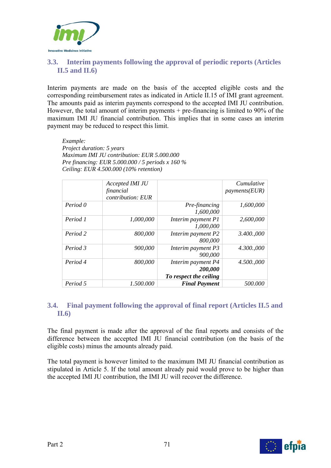

## **3.3. Interim payments following the approval of periodic reports (Articles II.5 and II.6)**

Interim payments are made on the basis of the accepted eligible costs and the corresponding reimbursement rates as indicated in Article II.15 of IMI grant agreement. The amounts paid as interim payments correspond to the accepted IMI JU contribution. However, the total amount of interim payments  $+$  pre-financing is limited to 90% of the maximum IMI JU financial contribution. This implies that in some cases an interim payment may be reduced to respect this limit.

*Example: Project duration: 5 years Maximum IMI JU contribution: EUR 5.000.000 Pre financing: EUR 5.000.000 / 5 periods x 160 % Ceiling: EUR 4.500.000 (10% retention)* 

|          | Accepted IMI JU<br>financial<br><i>contribution: EUR</i> |                                                         | Cumulative<br>payments(EUR) |
|----------|----------------------------------------------------------|---------------------------------------------------------|-----------------------------|
| Period 0 |                                                          | Pre-financing<br>1,600,000                              | 1,600,000                   |
| Period 1 | 1,000,000                                                | Interim payment P1<br>1,000,000                         | 2,600,000                   |
| Period 2 | 800,000                                                  | Interim payment P2<br>800,000                           | 3.400,000                   |
| Period 3 | 900,000                                                  | Interim payment P3<br>900,000                           | 4.300,000                   |
| Period 4 | 800,000                                                  | Interim payment P4<br>200,000<br>To respect the ceiling | 4.500,000                   |
| Period 5 | 1.500.000                                                | <b>Final Payment</b>                                    | 500.000                     |

## **3.4. Final payment following the approval of final report (Articles II.5 and II.6)**

The final payment is made after the approval of the final reports and consists of the difference between the accepted IMI JU financial contribution (on the basis of the eligible costs) minus the amounts already paid.

The total payment is however limited to the maximum IMI JU financial contribution as stipulated in Article 5. If the total amount already paid would prove to be higher than the accepted IMI JU contribution, the IMI JU will recover the difference.

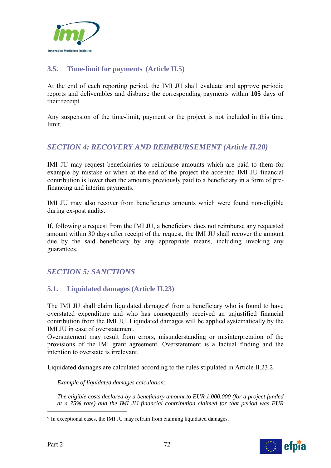

## **3.5. Time-limit for payments (Article II.5)**

At the end of each reporting period, the IMI JU shall evaluate and approve periodic reports and deliverables and disburse the corresponding payments within **105** days of their receipt.

Any suspension of the time-limit, payment or the project is not included in this time limit.

## *SECTION 4: RECOVERY AND REIMBURSEMENT (Article II.20)*

IMI JU may request beneficiaries to reimburse amounts which are paid to them for example by mistake or when at the end of the project the accepted IMI JU financial contribution is lower than the amounts previously paid to a beneficiary in a form of prefinancing and interim payments.

IMI JU may also recover from beneficiaries amounts which were found non-eligible during ex-post audits.

If, following a request from the IMI JU, a beneficiary does not reimburse any requested amount within 30 days after receipt of the request, the IMI JU shall recover the amount due by the said beneficiary by any appropriate means, including invoking any guarantees.

## *SECTION 5: SANCTIONS*

## **5.1. Liquidated damages (Article II.23)**

The IMI JU shall claim liquidated damages<sup>6</sup> from a beneficiary who is found to have overstated expenditure and who has consequently received an unjustified financial contribution from the IMI JU. Liquidated damages will be applied systematically by the IMI JU in case of overstatement.

Overstatement may result from errors, misunderstanding or misinterpretation of the provisions of the IMI grant agreement. Overstatement is a factual finding and the intention to overstate is irrelevant.

Liquidated damages are calculated according to the rules stipulated in Article II.23.2.

*Example of liquidated damages calculation:* 

*The eligible costs declared by a beneficiary amount to EUR 1.000.000 (for a project funded at a 75% rate) and the IMI JU financial contribution claimed for that period was EUR* 

1



<sup>6</sup> In exceptional cases, the IMI JU may refrain from claiming liquidated damages.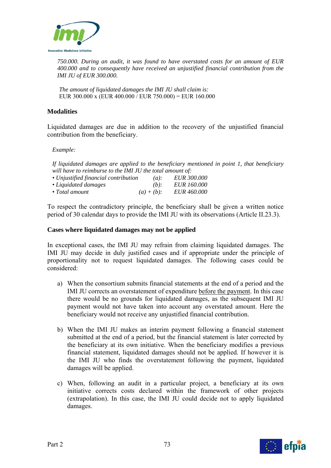

*750.000. During an audit, it was found to have overstated costs for an amount of EUR 400.000 and to consequently have received an unjustified financial contribution from the IMI JU of EUR 300.000.* 

*The amount of liquidated damages the IMI JU shall claim is:*  EUR 300.000 x (EUR 400.000 / EUR 750.000) = EUR 160.000

#### **Modalities**

Liquidated damages are due in addition to the recovery of the unjustified financial contribution from the beneficiary.

*Example:* 

*If liquidated damages are applied to the beneficiary mentioned in point 1, that beneficiary will have to reimburse to the IMI JU the total amount of:* 

| • Unjustified financial contribution | $(a)$ :       | <b>EUR 300.000</b> |
|--------------------------------------|---------------|--------------------|
| • Liquidated damages                 | $(b)$ :       | <b>EUR</b> 160,000 |
| $\bullet$ Total amount               | $(a) + (b)$ : | <i>EUR 460.000</i> |

To respect the contradictory principle, the beneficiary shall be given a written notice period of 30 calendar days to provide the IMI JU with its observations (Article II.23.3).

#### **Cases where liquidated damages may not be applied**

In exceptional cases, the IMI JU may refrain from claiming liquidated damages. The IMI JU may decide in duly justified cases and if appropriate under the principle of proportionality not to request liquidated damages. The following cases could be considered:

- a) When the consortium submits financial statements at the end of a period and the IMI JU corrects an overstatement of expenditure before the payment. In this case there would be no grounds for liquidated damages, as the subsequent IMI JU payment would not have taken into account any overstated amount. Here the beneficiary would not receive any unjustified financial contribution.
- b) When the IMI JU makes an interim payment following a financial statement submitted at the end of a period, but the financial statement is later corrected by the beneficiary at its own initiative. When the beneficiary modifies a previous financial statement, liquidated damages should not be applied. If however it is the IMI JU who finds the overstatement following the payment, liquidated damages will be applied.
- c) When, following an audit in a particular project, a beneficiary at its own initiative corrects costs declared within the framework of other projects (extrapolation). In this case, the IMI JU could decide not to apply liquidated damages.

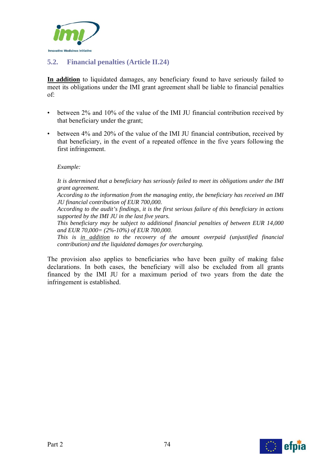

## **5.2. Financial penalties (Article II.24)**

**In addition** to liquidated damages, any beneficiary found to have seriously failed to meet its obligations under the IMI grant agreement shall be liable to financial penalties of:

- between 2% and 10% of the value of the IMI JU financial contribution received by that beneficiary under the grant;
- between 4% and 20% of the value of the IMI JU financial contribution, received by that beneficiary, in the event of a repeated offence in the five years following the first infringement.

#### *Example:*

*It is determined that a beneficiary has seriously failed to meet its obligations under the IMI grant agreement.* 

*According to the information from the managing entity, the beneficiary has received an IMI JU financial contribution of EUR 700,000.* 

*According to the audit's findings, it is the first serious failure of this beneficiary in actions supported by the IMI JU in the last five years.* 

*This beneficiary may be subject to additional financial penalties of between EUR 14,000 and EUR 70,000= (2%-10%) of EUR 700,000.* 

*This is in addition to the recovery of the amount overpaid (unjustified financial contribution) and the liquidated damages for overcharging.* 

The provision also applies to beneficiaries who have been guilty of making false declarations. In both cases, the beneficiary will also be excluded from all grants financed by the IMI JU for a maximum period of two years from the date the infringement is established.

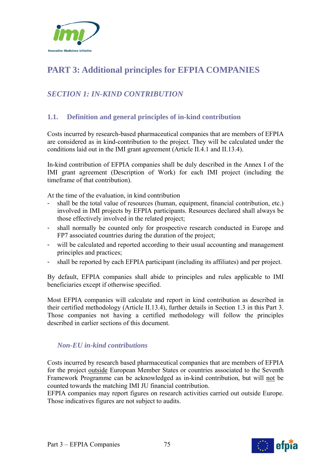

# **PART 3: Additional principles for EFPIA COMPANIES**

## *SECTION 1: IN-KIND CONTRIBUTION*

## **1.1. Definition and general principles of in-kind contribution**

Costs incurred by research-based pharmaceutical companies that are members of EFPIA are considered as in kind-contribution to the project. They will be calculated under the conditions laid out in the IMI grant agreement (Article II.4.1 and II.13.4).

In-kind contribution of EFPIA companies shall be duly described in the Annex I of the IMI grant agreement (Description of Work) for each IMI project (including the timeframe of that contribution).

At the time of the evaluation, in kind contribution

- shall be the total value of resources (human, equipment, financial contribution, etc.) involved in IMI projects by EFPIA participants. Resources declared shall always be those effectively involved in the related project;
- shall normally be counted only for prospective research conducted in Europe and FP7 associated countries during the duration of the project;
- will be calculated and reported according to their usual accounting and management principles and practices;
- shall be reported by each EFPIA participant (including its affiliates) and per project.

By default, EFPIA companies shall abide to principles and rules applicable to IMI beneficiaries except if otherwise specified.

Most EFPIA companies will calculate and report in kind contribution as described in their certified methodology (Article II.13.4), further details in Section 1.3 in this Part 3. Those companies not having a certified methodology will follow the principles described in earlier sections of this document.

### *Non-EU in-kind contributions*

Costs incurred by research based pharmaceutical companies that are members of EFPIA for the project outside European Member States or countries associated to the Seventh Framework Programme can be acknowledged as in-kind contribution, but will not be counted towards the matching IMI JU financial contribution.

EFPIA companies may report figures on research activities carried out outside Europe. Those indicatives figures are not subject to audits.

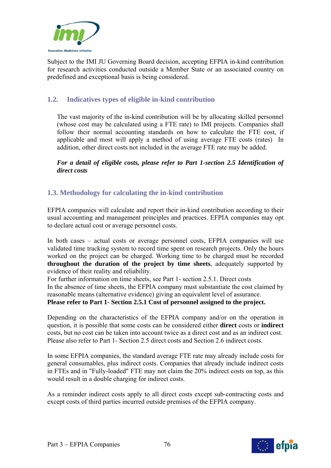

Subject to the IMI JU Governing Board decision, accepting EFPIA in-kind contribution for research activities conducted outside a Member State or an associated country on predefined and exceptional basis is being considered.

## **1.2. Indicatives types of eligible in-kind contribution**

The vast majority of the in-kind contribution will be by allocating skilled personnel (whose cost may be calculated using a FTE rate) to IMI projects. Companies shall follow their normal accounting standards on how to calculate the FTE cost, if applicable and most will apply a method of using average FTE costs (rates) In addition, other direct costs not included in the average FTE rate may be added.

*For a detail of eligible costs, please refer to Part 1-section 2.5 Identification of direct costs* 

### **1.3. Methodology for calculating the in-kind contribution**

EFPIA companies will calculate and report their in-kind contribution according to their usual accounting and management principles and practices. EFPIA companies may opt to declare actual cost or average personnel costs.

In both cases – actual costs or average personnel costs, EFPIA companies will use validated time tracking system to record time spent on research projects. Only the hours worked on the project can be charged. Working time to be charged must be recorded **throughout the duration of the project by time sheets**, adequately supported by evidence of their reality and reliability.

For further information on time sheets, see Part 1- section 2.5.1. Direct costs In the absence of time sheets, the EFPIA company must substantiate the cost claimed by reasonable means (alternative evidence) giving an equivalent level of assurance. **Please refer to Part 1- Section 2.5.1 Cost of personnel assigned to the project.** 

Depending on the characteristics of the EFPIA company and/or on the operation in question, it is possible that some costs can be considered either **direct** costs or **indirect** costs, but no cost can be taken into account twice as a direct cost and as an indirect cost. Please also refer to Part 1- Section 2.5 direct costs and Section 2.6 indirect costs.

In some EFPIA companies, the standard average FTE rate may already include costs for general consumables, plus indirect costs. Companies that already include indirect costs in FTEs and in "Fully-loaded" FTE may not claim the 20% indirect costs on top, as this would result in a double charging for indirect costs.

As a reminder indirect costs apply to all direct costs except sub-contracting costs and except costs of third parties incurred outside premises of the EFPIA company.

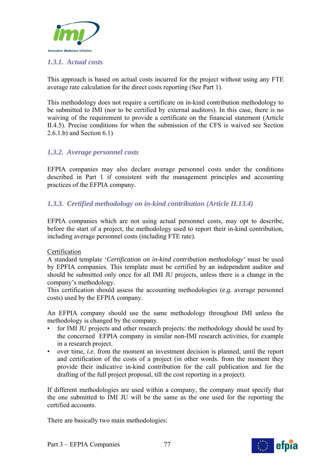

#### *1.3.1. Actual costs*

This approach is based on actual costs incurred for the project without using any FTE average rate calculation for the direct costs reporting (See Part 1).

This methodology does not require a certificate on in-kind contribution methodology to be submitted to IMI (nor to be certified by external auditors). In this case, there is no waiving of the requirement to provide a certificate on the financial statement (Article II.4.5). Precise conditions for when the submission of the CFS is waived see Section 2.6.1.b) and Section 6.1)

#### *1.3.2. Average personnel costs*

EFPIA companies may also declare average personnel costs under the conditions described in Part 1 if consistent with the management principles and accounting practices of the EFPIA company.

### *1.3.3. Certified methodology on in-kind contribution (Article II.13.4)*

EFPIA companies which are not using actual personnel costs, may opt to describe, before the start of a project, the methodology used to report their in-kind contribution, including average personnel costs (including FTE rate).

#### Certification

A standard template '*Certification on in-kind contribution methodology'* must be used by EPFIA companies. This template must be certified by an independent auditor and should be submitted only once for all IMI JU projects, unless there is a change in the company's methodology.

This certification should assess the accounting methodologies (*e.g.* average personnel costs) used by the EFPIA company.

An EFPIA company should use the same methodology throughout IMI unless the methodology is changed by the company.

- for IMI JU projects and other research projects: the methodology should be used by the concerned EFPIA company in similar non-IMI research activities, for example in a research project.
- over time, *i.e.* from the moment an investment decision is planned, until the report and certification of the costs of a project (in other words. from the moment they provide their indicative in-kind contribution for the call publication and for the drafting of the full project proposal, till the cost reporting in a project).

If different methodologies are used within a company, the company must specify that the one submitted to IMI JU will be the same as the one used for the reporting the certified accounts.

There are basically two main methodologies:

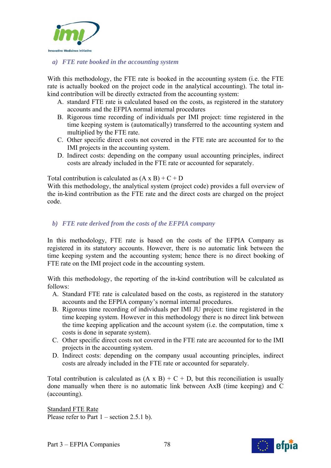

#### *a) FTE rate booked in the accounting system*

With this methodology, the FTE rate is booked in the accounting system (i.e. the FTE rate is actually booked on the project code in the analytical accounting). The total inkind contribution will be directly extracted from the accounting system:

- A. standard FTE rate is calculated based on the costs, as registered in the statutory accounts and the EFPIA normal internal procedures
- B. Rigorous time recording of individuals per IMI project: time registered in the time keeping system is (automatically) transferred to the accounting system and multiplied by the FTE rate.
- C. Other specific direct costs not covered in the FTE rate are accounted for to the IMI projects in the accounting system.
- D. Indirect costs: depending on the company usual accounting principles, indirect costs are already included in the FTE rate or accounted for separately.

Total contribution is calculated as  $(A \times B) + C + D$ 

With this methodology, the analytical system (project code) provides a full overview of the in-kind contribution as the FTE rate and the direct costs are charged on the project code.

#### *b) FTE rate derived from the costs of the EFPIA company*

In this methodology, FTE rate is based on the costs of the EFPIA Company as registered in its statutory accounts. However, there is no automatic link between the time keeping system and the accounting system; hence there is no direct booking of FTE rate on the IMI project code in the accounting system.

With this methodology, the reporting of the in-kind contribution will be calculated as follows:

- A. Standard FTE rate is calculated based on the costs, as registered in the statutory accounts and the EFPIA company's normal internal procedures.
- B. Rigorous time recording of individuals per IMI JU project: time registered in the time keeping system. However in this methodology there is no direct link between the time keeping application and the account system (i.e. the computation, time x costs is done in separate system).
- C. Other specific direct costs not covered in the FTE rate are accounted for to the IMI projects in the accounting system.
- D. Indirect costs: depending on the company usual accounting principles, indirect costs are already included in the FTE rate or accounted for separately.

Total contribution is calculated as  $(A \times B) + C + D$ , but this reconciliation is usually done manually when there is no automatic link between AxB (time keeping) and C (accounting).

Standard FTE Rate Please refer to Part  $1$  – section 2.5.1 b).

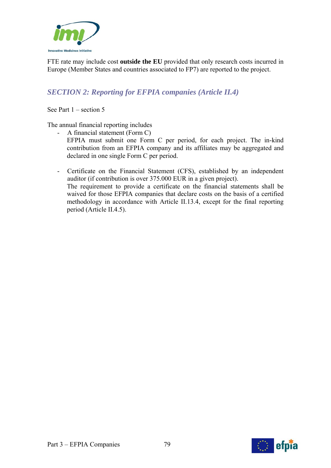

FTE rate may include cost **outside the EU** provided that only research costs incurred in Europe (Member States and countries associated to FP7) are reported to the project.

## *SECTION 2: Reporting for EFPIA companies (Article II.4)*

See Part 1 – section 5

The annual financial reporting includes

- A financial statement (Form C) EFPIA must submit one Form C per period, for each project. The in-kind contribution from an EFPIA company and its affiliates may be aggregated and declared in one single Form C per period.
- Certificate on the Financial Statement (CFS), established by an independent auditor (if contribution is over 375.000 EUR in a given project). The requirement to provide a certificate on the financial statements shall be waived for those EFPIA companies that declare costs on the basis of a certified methodology in accordance with Article II.13.4, except for the final reporting period (Article II.4.5).

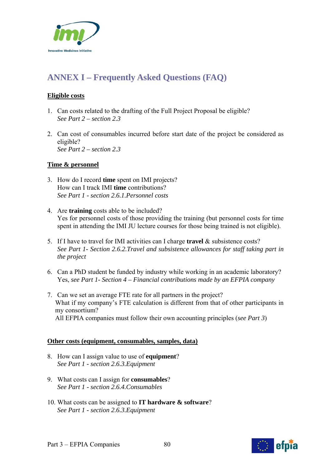

# **ANNEX I – Frequently Asked Questions (FAQ)**

#### **Eligible costs**

- 1. Can costs related to the drafting of the Full Project Proposal be eligible? *See Part 2 – section 2.3*
- 2. Can cost of consumables incurred before start date of the project be considered as eligible? *See Part 2 – section 2.3*

#### **Time & personnel**

- 3. How do I record **time** spent on IMI projects? How can I track IMI **time** contributions? *See Part 1 - section 2.6.1.Personnel costs*
- 4. Are **training** costs able to be included? Yes for personnel costs of those providing the training (but personnel costs for time spent in attending the IMI JU lecture courses for those being trained is not eligible).
- 5. If I have to travel for IMI activities can I charge **travel** & subsistence costs? *See Part 1- Section 2.6.2.Travel and subsistence allowances for staff taking part in the project*
- 6. Can a PhD student be funded by industry while working in an academic laboratory? Yes, *see Part 1- Section 4 – Financial contributions made by an EFPIA company*
- 7. Can we set an average FTE rate for all partners in the project? What if my company's FTE calculation is different from that of other participants in my consortium? All EFPIA companies must follow their own accounting principles (*see Part 3*)

#### **Other costs (equipment, consumables, samples, data)**

- 8. How can I assign value to use of **equipment**? *See Part 1 - section 2.6.3.Equipment*
- 9. What costs can I assign for **consumables**? *See Part 1 - section 2.6.4.Consumables*
- 10. What costs can be assigned to **IT hardware & software**? *See Part 1 - section 2.6.3.Equipment*